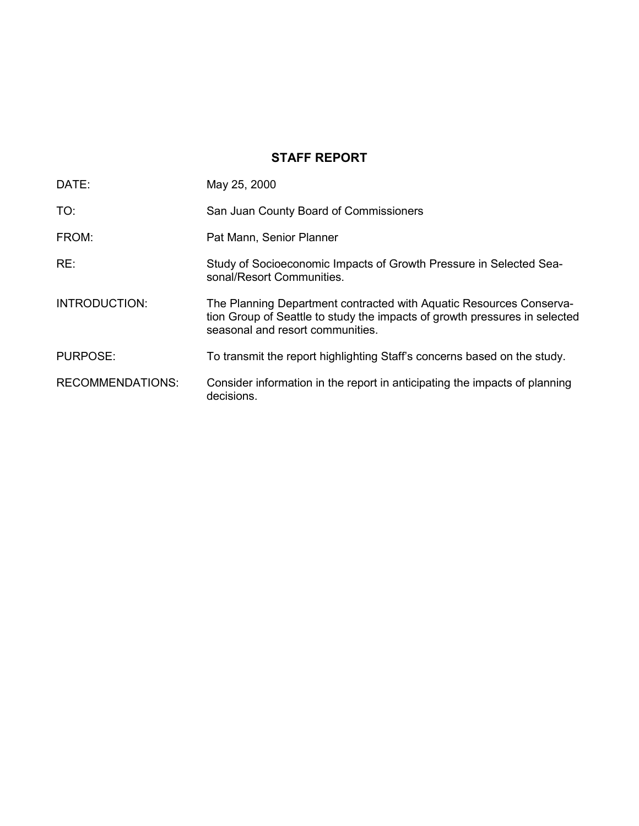# **STAFF REPORT**

| DATE:                   | May 25, 2000                                                                                                                                                                          |
|-------------------------|---------------------------------------------------------------------------------------------------------------------------------------------------------------------------------------|
| TO:                     | San Juan County Board of Commissioners                                                                                                                                                |
| FROM:                   | Pat Mann, Senior Planner                                                                                                                                                              |
| RE:                     | Study of Socioeconomic Impacts of Growth Pressure in Selected Sea-<br>sonal/Resort Communities.                                                                                       |
| <b>INTRODUCTION:</b>    | The Planning Department contracted with Aquatic Resources Conserva-<br>tion Group of Seattle to study the impacts of growth pressures in selected<br>seasonal and resort communities. |
| <b>PURPOSE:</b>         | To transmit the report highlighting Staff's concerns based on the study.                                                                                                              |
| <b>RECOMMENDATIONS:</b> | Consider information in the report in anticipating the impacts of planning<br>decisions.                                                                                              |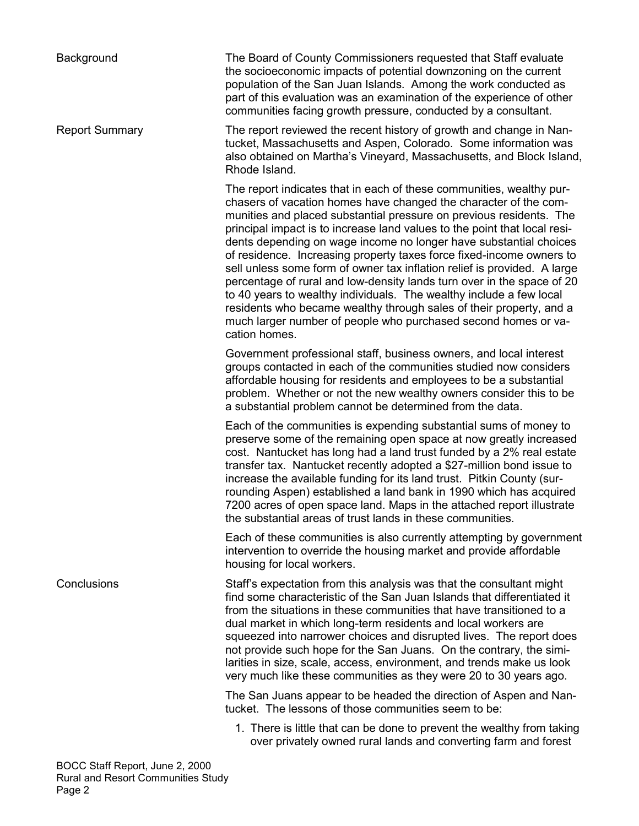Background The Board of County Commissioners requested that Staff evaluate the socioeconomic impacts of potential downzoning on the current population of the San Juan Islands. Among the work conducted as part of this evaluation was an examination of the experience of other communities facing growth pressure, conducted by a consultant.

Report Summary The report reviewed the recent history of growth and change in Nantucket, Massachusetts and Aspen, Colorado. Some information was also obtained on Martha's Vineyard, Massachusetts, and Block Island, Rhode Island.

> The report indicates that in each of these communities, wealthy purchasers of vacation homes have changed the character of the communities and placed substantial pressure on previous residents. The principal impact is to increase land values to the point that local residents depending on wage income no longer have substantial choices of residence. Increasing property taxes force fixed-income owners to sell unless some form of owner tax inflation relief is provided. A large percentage of rural and low-density lands turn over in the space of 20 to 40 years to wealthy individuals. The wealthy include a few local residents who became wealthy through sales of their property, and a much larger number of people who purchased second homes or vacation homes.

Government professional staff, business owners, and local interest groups contacted in each of the communities studied now considers affordable housing for residents and employees to be a substantial problem. Whether or not the new wealthy owners consider this to be a substantial problem cannot be determined from the data.

Each of the communities is expending substantial sums of money to preserve some of the remaining open space at now greatly increased cost. Nantucket has long had a land trust funded by a 2% real estate transfer tax. Nantucket recently adopted a \$27-million bond issue to increase the available funding for its land trust. Pitkin County (surrounding Aspen) established a land bank in 1990 which has acquired 7200 acres of open space land. Maps in the attached report illustrate the substantial areas of trust lands in these communities.

Each of these communities is also currently attempting by government intervention to override the housing market and provide affordable housing for local workers.

Conclusions Staffís expectation from this analysis was that the consultant might find some characteristic of the San Juan Islands that differentiated it from the situations in these communities that have transitioned to a dual market in which long-term residents and local workers are squeezed into narrower choices and disrupted lives. The report does not provide such hope for the San Juans. On the contrary, the similarities in size, scale, access, environment, and trends make us look very much like these communities as they were 20 to 30 years ago.

> The San Juans appear to be headed the direction of Aspen and Nantucket. The lessons of those communities seem to be:

 1. There is little that can be done to prevent the wealthy from taking over privately owned rural lands and converting farm and forest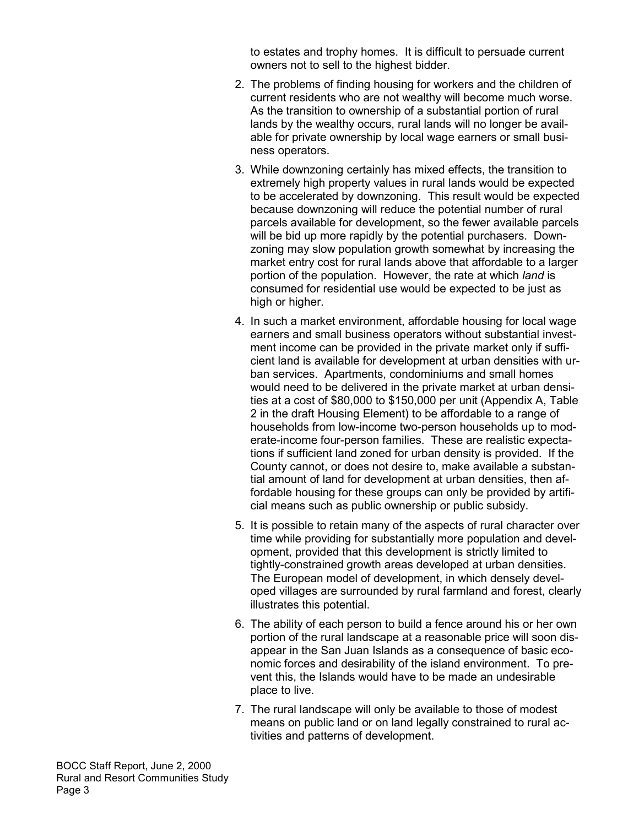to estates and trophy homes. It is difficult to persuade current owners not to sell to the highest bidder.

- 2. The problems of finding housing for workers and the children of current residents who are not wealthy will become much worse. As the transition to ownership of a substantial portion of rural lands by the wealthy occurs, rural lands will no longer be available for private ownership by local wage earners or small business operators.
- 3. While downzoning certainly has mixed effects, the transition to extremely high property values in rural lands would be expected to be accelerated by downzoning. This result would be expected because downzoning will reduce the potential number of rural parcels available for development, so the fewer available parcels will be bid up more rapidly by the potential purchasers. Downzoning may slow population growth somewhat by increasing the market entry cost for rural lands above that affordable to a larger portion of the population. However, the rate at which *land* is consumed for residential use would be expected to be just as high or higher.
- 4. In such a market environment, affordable housing for local wage earners and small business operators without substantial investment income can be provided in the private market only if sufficient land is available for development at urban densities with urban services. Apartments, condominiums and small homes would need to be delivered in the private market at urban densities at a cost of \$80,000 to \$150,000 per unit (Appendix A, Table 2 in the draft Housing Element) to be affordable to a range of households from low-income two-person households up to moderate-income four-person families. These are realistic expectations if sufficient land zoned for urban density is provided. If the County cannot, or does not desire to, make available a substantial amount of land for development at urban densities, then affordable housing for these groups can only be provided by artificial means such as public ownership or public subsidy.
- 5. It is possible to retain many of the aspects of rural character over time while providing for substantially more population and development, provided that this development is strictly limited to tightly-constrained growth areas developed at urban densities. The European model of development, in which densely developed villages are surrounded by rural farmland and forest, clearly illustrates this potential.
- 6. The ability of each person to build a fence around his or her own portion of the rural landscape at a reasonable price will soon disappear in the San Juan Islands as a consequence of basic economic forces and desirability of the island environment. To prevent this, the Islands would have to be made an undesirable place to live.
- 7. The rural landscape will only be available to those of modest means on public land or on land legally constrained to rural activities and patterns of development.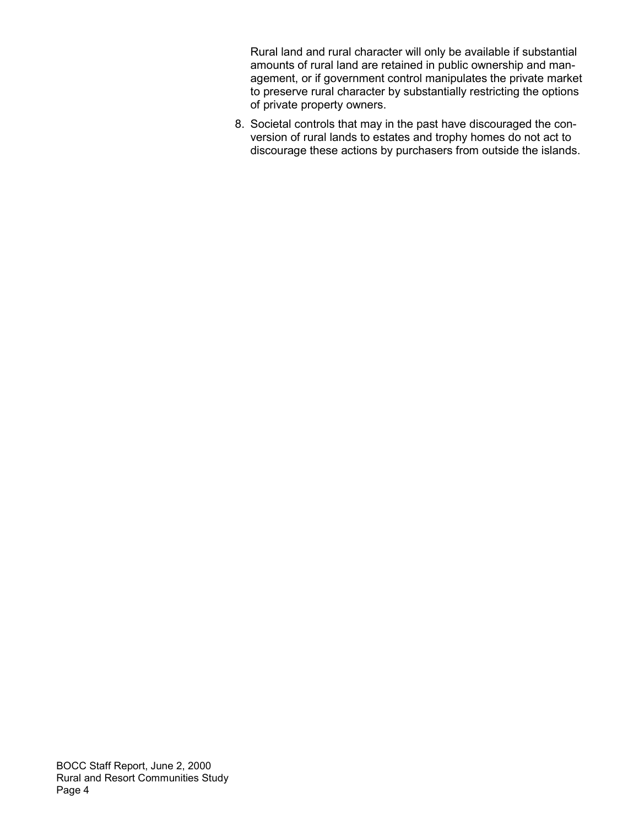Rural land and rural character will only be available if substantial amounts of rural land are retained in public ownership and management, or if government control manipulates the private market to preserve rural character by substantially restricting the options of private property owners.

 8. Societal controls that may in the past have discouraged the conversion of rural lands to estates and trophy homes do not act to discourage these actions by purchasers from outside the islands.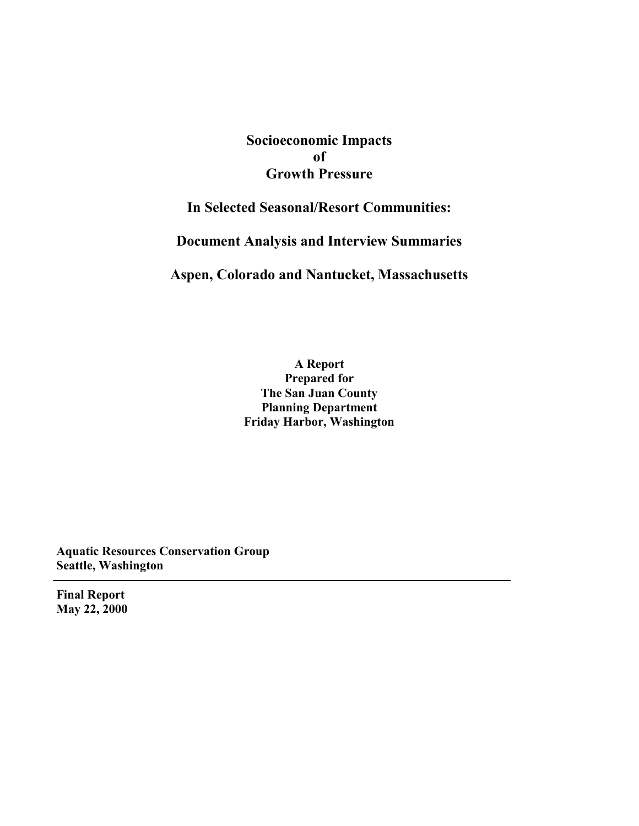# **Socioeconomic Impacts of Growth Pressure**

# **In Selected Seasonal/Resort Communities:**

**Document Analysis and Interview Summaries**

**Aspen, Colorado and Nantucket, Massachusetts**

**A Report Prepared for The San Juan County Planning Department Friday Harbor, Washington**

**Aquatic Resources Conservation Group Seattle, Washington**

**Final Report May 22, 2000**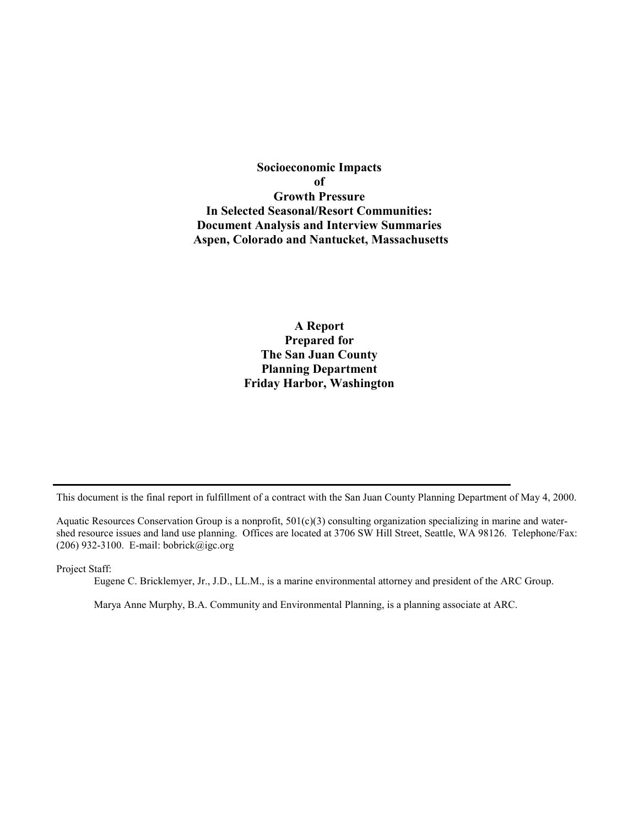**Socioeconomic Impacts of Growth Pressure In Selected Seasonal/Resort Communities: Document Analysis and Interview Summaries Aspen, Colorado and Nantucket, Massachusetts**

> **A Report Prepared for The San Juan County Planning Department Friday Harbor, Washington**

This document is the final report in fulfillment of a contract with the San Juan County Planning Department of May 4, 2000.

Aquatic Resources Conservation Group is a nonprofit, 501(c)(3) consulting organization specializing in marine and watershed resource issues and land use planning. Offices are located at 3706 SW Hill Street, Seattle, WA 98126. Telephone/Fax: (206) 932-3100. E-mail: bobrick@igc.org

Project Staff:

Eugene C. Bricklemyer, Jr., J.D., LL.M., is a marine environmental attorney and president of the ARC Group.

Marya Anne Murphy, B.A. Community and Environmental Planning, is a planning associate at ARC.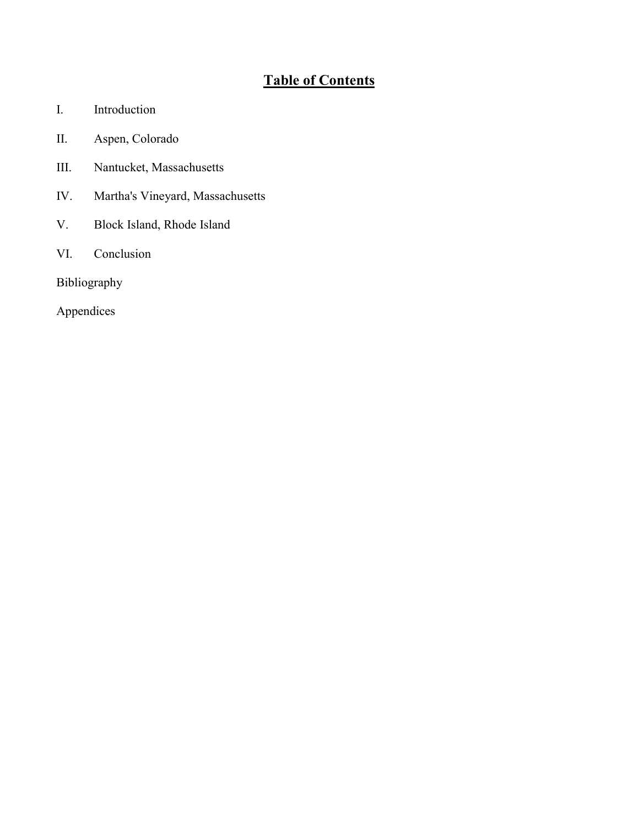# **Table of Contents**

- I. Introduction
- II. Aspen, Colorado
- III. Nantucket, Massachusetts
- IV. Martha's Vineyard, Massachusetts
- V. Block Island, Rhode Island
- VI. Conclusion

Bibliography

Appendices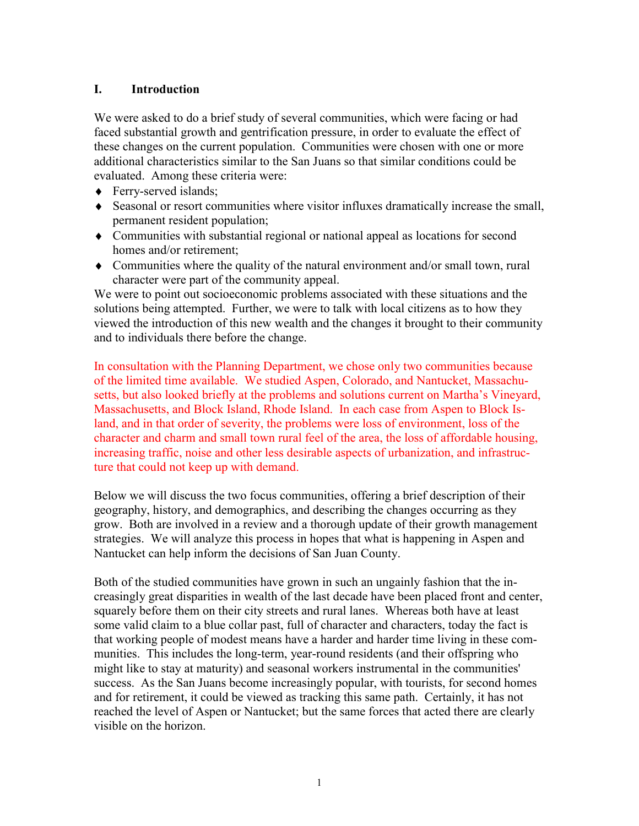## **I. Introduction**

We were asked to do a brief study of several communities, which were facing or had faced substantial growth and gentrification pressure, in order to evaluate the effect of these changes on the current population. Communities were chosen with one or more additional characteristics similar to the San Juans so that similar conditions could be evaluated. Among these criteria were:

- ◆ Ferry-served islands;
- ♦ Seasonal or resort communities where visitor influxes dramatically increase the small, permanent resident population;
- ♦ Communities with substantial regional or national appeal as locations for second homes and/or retirement;
- ♦ Communities where the quality of the natural environment and/or small town, rural character were part of the community appeal.

We were to point out socioeconomic problems associated with these situations and the solutions being attempted. Further, we were to talk with local citizens as to how they viewed the introduction of this new wealth and the changes it brought to their community and to individuals there before the change.

In consultation with the Planning Department, we chose only two communities because of the limited time available.We studied Aspen, Colorado, and Nantucket, Massachusetts, but also looked briefly at the problems and solutions current on Martha's Vineyard, Massachusetts, and Block Island, Rhode Island. In each case from Aspen to Block Island, and in that order of severity, the problems were loss of environment, loss of the character and charm and small town rural feel of the area, the loss of affordable housing, increasing traffic, noise and other less desirable aspects of urbanization, and infrastructure that could not keep up with demand.

Below we will discuss the two focus communities, offering a brief description of their geography, history, and demographics, and describing the changes occurring as they grow. Both are involved in a review and a thorough update of their growth management strategies. We will analyze this process in hopes that what is happening in Aspen and Nantucket can help inform the decisions of San Juan County.

Both of the studied communities have grown in such an ungainly fashion that the increasingly great disparities in wealth of the last decade have been placed front and center, squarely before them on their city streets and rural lanes. Whereas both have at least some valid claim to a blue collar past, full of character and characters, today the fact is that working people of modest means have a harder and harder time living in these communities. This includes the long-term, year-round residents (and their offspring who might like to stay at maturity) and seasonal workers instrumental in the communities' success. As the San Juans become increasingly popular, with tourists, for second homes and for retirement, it could be viewed as tracking this same path. Certainly, it has not reached the level of Aspen or Nantucket; but the same forces that acted there are clearly visible on the horizon.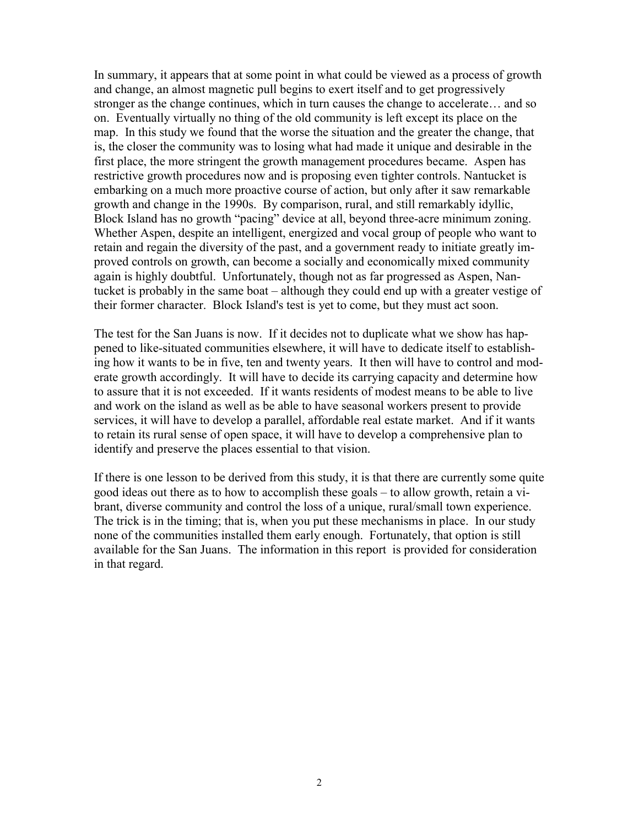In summary, it appears that at some point in what could be viewed as a process of growth and change, an almost magnetic pull begins to exert itself and to get progressively stronger as the change continues, which in turn causes the change to accelerate... and so on. Eventually virtually no thing of the old community is left except its place on the map. In this study we found that the worse the situation and the greater the change, that is, the closer the community was to losing what had made it unique and desirable in the first place, the more stringent the growth management procedures became. Aspen has restrictive growth procedures now and is proposing even tighter controls. Nantucket is embarking on a much more proactive course of action, but only after it saw remarkable growth and change in the 1990s. By comparison, rural, and still remarkably idyllic, Block Island has no growth "pacing" device at all, beyond three-acre minimum zoning. Whether Aspen, despite an intelligent, energized and vocal group of people who want to retain and regain the diversity of the past, and a government ready to initiate greatly improved controls on growth, can become a socially and economically mixed community again is highly doubtful. Unfortunately, though not as far progressed as Aspen, Nantucket is probably in the same boat – although they could end up with a greater vestige of their former character. Block Island's test is yet to come, but they must act soon.

The test for the San Juans is now. If it decides not to duplicate what we show has happened to like-situated communities elsewhere, it will have to dedicate itself to establishing how it wants to be in five, ten and twenty years. It then will have to control and moderate growth accordingly. It will have to decide its carrying capacity and determine how to assure that it is not exceeded. If it wants residents of modest means to be able to live and work on the island as well as be able to have seasonal workers present to provide services, it will have to develop a parallel, affordable real estate market. And if it wants to retain its rural sense of open space, it will have to develop a comprehensive plan to identify and preserve the places essential to that vision.

If there is one lesson to be derived from this study, it is that there are currently some quite good ideas out there as to how to accomplish these goals – to allow growth, retain a vibrant, diverse community and control the loss of a unique, rural/small town experience. The trick is in the timing; that is, when you put these mechanisms in place. In our study none of the communities installed them early enough. Fortunately, that option is still available for the San Juans. The information in this report is provided for consideration in that regard.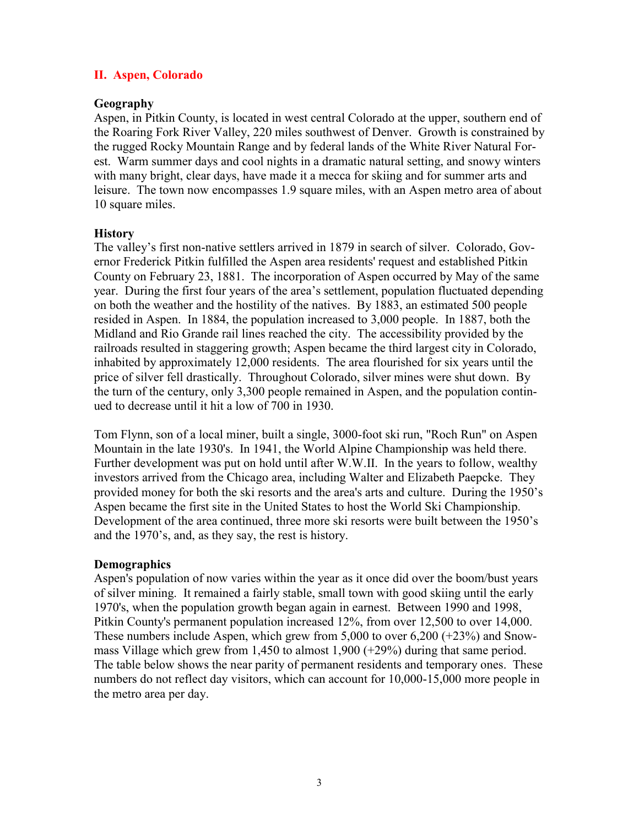## **II. Aspen, Colorado**

#### **Geography**

Aspen, in Pitkin County, is located in west central Colorado at the upper, southern end of the Roaring Fork River Valley, 220 miles southwest of Denver. Growth is constrained by the rugged Rocky Mountain Range and by federal lands of the White River Natural Forest. Warm summer days and cool nights in a dramatic natural setting, and snowy winters with many bright, clear days, have made it a mecca for skiing and for summer arts and leisure. The town now encompasses 1.9 square miles, with an Aspen metro area of about 10 square miles.

#### **History**

The valley's first non-native settlers arrived in 1879 in search of silver. Colorado, Governor Frederick Pitkin fulfilled the Aspen area residents' request and established Pitkin County on February 23, 1881. The incorporation of Aspen occurred by May of the same year. During the first four years of the area's settlement, population fluctuated depending on both the weather and the hostility of the natives. By 1883, an estimated 500 people resided in Aspen. In 1884, the population increased to 3,000 people. In 1887, both the Midland and Rio Grande rail lines reached the city. The accessibility provided by the railroads resulted in staggering growth; Aspen became the third largest city in Colorado, inhabited by approximately 12,000 residents. The area flourished for six years until the price of silver fell drastically. Throughout Colorado, silver mines were shut down. By the turn of the century, only 3,300 people remained in Aspen, and the population continued to decrease until it hit a low of 700 in 1930.

Tom Flynn, son of a local miner, built a single, 3000-foot ski run, "Roch Run" on Aspen Mountain in the late 1930's. In 1941, the World Alpine Championship was held there. Further development was put on hold until after W.W.II. In the years to follow, wealthy investors arrived from the Chicago area, including Walter and Elizabeth Paepcke. They provided money for both the ski resorts and the area's arts and culture. During the 1950ís Aspen became the first site in the United States to host the World Ski Championship. Development of the area continued, three more ski resorts were built between the 1950's and the 1970's, and, as they say, the rest is history.

#### **Demographics**

Aspen's population of now varies within the year as it once did over the boom/bust years of silver mining. It remained a fairly stable, small town with good skiing until the early 1970's, when the population growth began again in earnest. Between 1990 and 1998, Pitkin County's permanent population increased 12%, from over 12,500 to over 14,000. These numbers include Aspen, which grew from 5,000 to over 6,200 (+23%) and Snowmass Village which grew from 1,450 to almost 1,900 (+29%) during that same period. The table below shows the near parity of permanent residents and temporary ones. These numbers do not reflect day visitors, which can account for 10,000-15,000 more people in the metro area per day.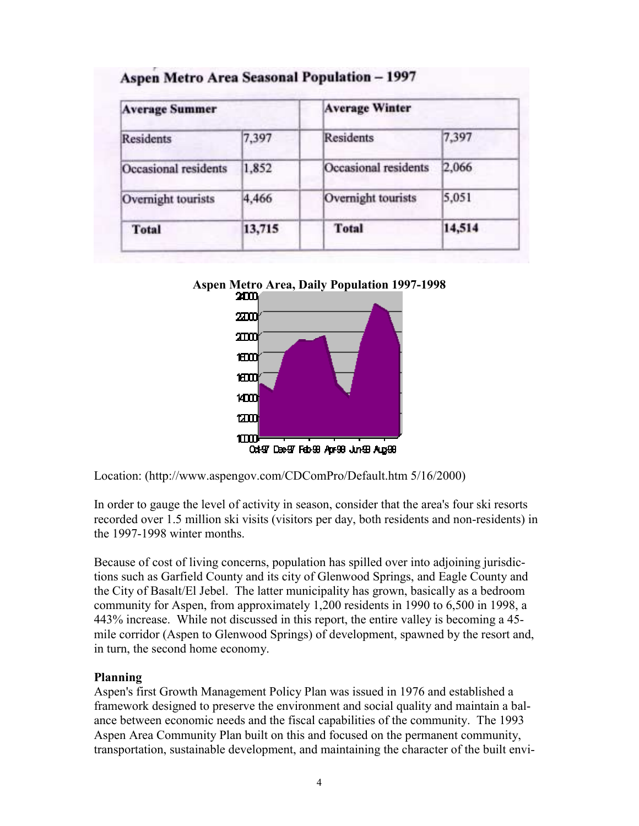| <b>Average Summer</b> |        | <b>Average Winter</b> |        |  |  |
|-----------------------|--------|-----------------------|--------|--|--|
| <b>Residents</b>      | 7,397  | Residents             | 7,397  |  |  |
| Occasional residents  | 1,852  | Occasional residents  | 2,066  |  |  |
| Overnight tourists    | 4,466  | Overnight tourists    | 5,051  |  |  |
| <b>Total</b>          | 13,715 | <b>Total</b>          | 14,514 |  |  |

## Aspen Metro Area Seasonal Population - 1997





Location: (http://www.aspengov.com/CDComPro/Default.htm 5/16/2000)

In order to gauge the level of activity in season, consider that the area's four ski resorts recorded over 1.5 million ski visits (visitors per day, both residents and non-residents) in the 1997-1998 winter months.

Because of cost of living concerns, population has spilled over into adjoining jurisdictions such as Garfield County and its city of Glenwood Springs, and Eagle County and the City of Basalt/El Jebel. The latter municipality has grown, basically as a bedroom community for Aspen, from approximately 1,200 residents in 1990 to 6,500 in 1998, a 443% increase. While not discussed in this report, the entire valley is becoming a 45 mile corridor (Aspen to Glenwood Springs) of development, spawned by the resort and, in turn, the second home economy.

## **Planning**

Aspen's first Growth Management Policy Plan was issued in 1976 and established a framework designed to preserve the environment and social quality and maintain a balance between economic needs and the fiscal capabilities of the community. The 1993 Aspen Area Community Plan built on this and focused on the permanent community, transportation, sustainable development, and maintaining the character of the built envi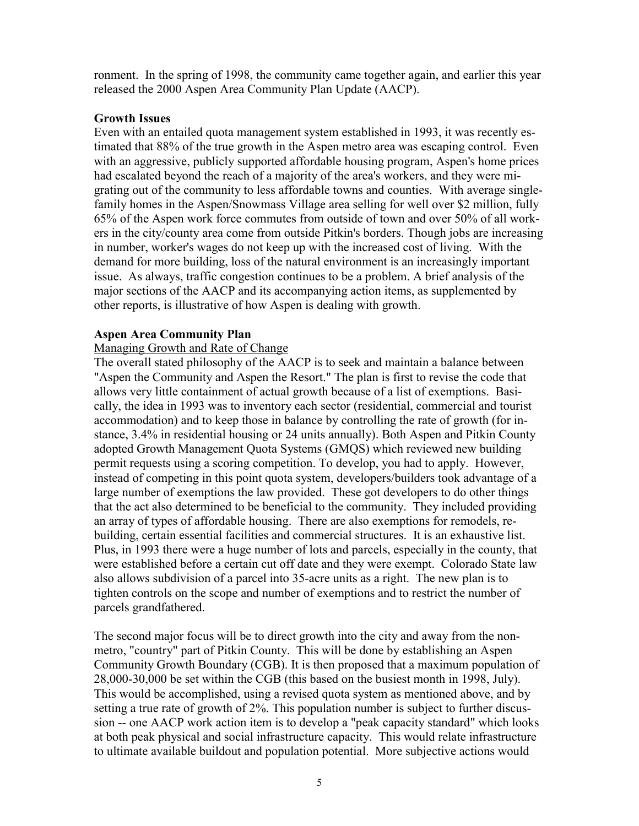ronment. In the spring of 1998, the community came together again, and earlier this year released the 2000 Aspen Area Community Plan Update (AACP).

## **Growth Issues**

Even with an entailed quota management system established in 1993, it was recently estimated that 88% of the true growth in the Aspen metro area was escaping control. Even with an aggressive, publicly supported affordable housing program, Aspen's home prices had escalated beyond the reach of a majority of the area's workers, and they were migrating out of the community to less affordable towns and counties. With average singlefamily homes in the Aspen/Snowmass Village area selling for well over \$2 million, fully 65% of the Aspen work force commutes from outside of town and over 50% of all workers in the city/county area come from outside Pitkin's borders. Though jobs are increasing in number, worker's wages do not keep up with the increased cost of living. With the demand for more building, loss of the natural environment is an increasingly important issue. As always, traffic congestion continues to be a problem. A brief analysis of the major sections of the AACP and its accompanying action items, as supplemented by other reports, is illustrative of how Aspen is dealing with growth.

## **Aspen Area Community Plan**

## Managing Growth and Rate of Change

The overall stated philosophy of the AACP is to seek and maintain a balance between "Aspen the Community and Aspen the Resort." The plan is first to revise the code that allows very little containment of actual growth because of a list of exemptions. Basically, the idea in 1993 was to inventory each sector (residential, commercial and tourist accommodation) and to keep those in balance by controlling the rate of growth (for instance, 3.4% in residential housing or 24 units annually). Both Aspen and Pitkin County adopted Growth Management Quota Systems (GMQS) which reviewed new building permit requests using a scoring competition. To develop, you had to apply. However, instead of competing in this point quota system, developers/builders took advantage of a large number of exemptions the law provided. These got developers to do other things that the act also determined to be beneficial to the community. They included providing an array of types of affordable housing. There are also exemptions for remodels, rebuilding, certain essential facilities and commercial structures. It is an exhaustive list. Plus, in 1993 there were a huge number of lots and parcels, especially in the county, that were established before a certain cut off date and they were exempt. Colorado State law also allows subdivision of a parcel into 35-acre units as a right. The new plan is to tighten controls on the scope and number of exemptions and to restrict the number of parcels grandfathered.

The second major focus will be to direct growth into the city and away from the nonmetro, "country" part of Pitkin County. This will be done by establishing an Aspen Community Growth Boundary (CGB). It is then proposed that a maximum population of 28,000-30,000 be set within the CGB (this based on the busiest month in 1998, July). This would be accomplished, using a revised quota system as mentioned above, and by setting a true rate of growth of 2%. This population number is subject to further discussion -- one AACP work action item is to develop a "peak capacity standard" which looks at both peak physical and social infrastructure capacity. This would relate infrastructure to ultimate available buildout and population potential. More subjective actions would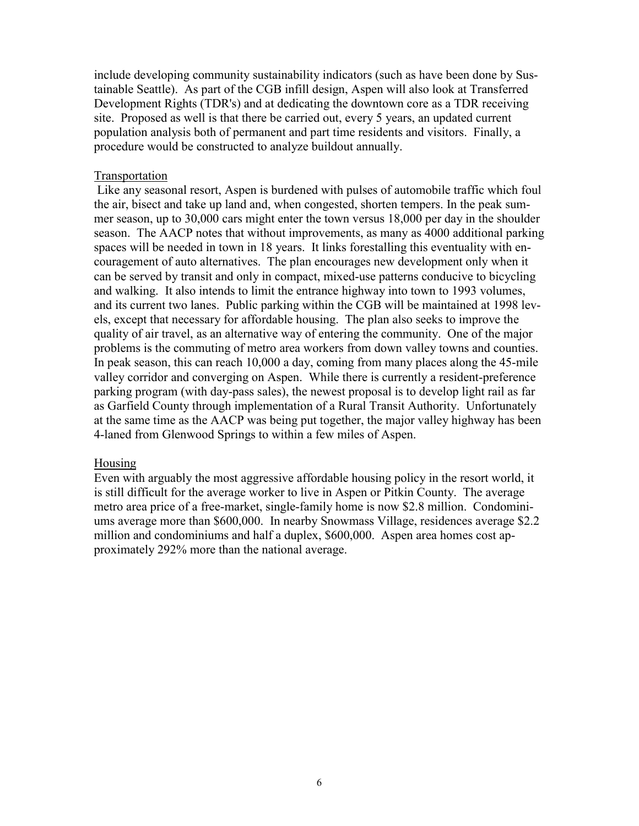include developing community sustainability indicators (such as have been done by Sustainable Seattle). As part of the CGB infill design, Aspen will also look at Transferred Development Rights (TDR's) and at dedicating the downtown core as a TDR receiving site. Proposed as well is that there be carried out, every 5 years, an updated current population analysis both of permanent and part time residents and visitors. Finally, a procedure would be constructed to analyze buildout annually.

#### Transportation

 Like any seasonal resort, Aspen is burdened with pulses of automobile traffic which foul the air, bisect and take up land and, when congested, shorten tempers. In the peak summer season, up to 30,000 cars might enter the town versus 18,000 per day in the shoulder season. The AACP notes that without improvements, as many as 4000 additional parking spaces will be needed in town in 18 years. It links forestalling this eventuality with encouragement of auto alternatives. The plan encourages new development only when it can be served by transit and only in compact, mixed-use patterns conducive to bicycling and walking. It also intends to limit the entrance highway into town to 1993 volumes, and its current two lanes. Public parking within the CGB will be maintained at 1998 levels, except that necessary for affordable housing. The plan also seeks to improve the quality of air travel, as an alternative way of entering the community. One of the major problems is the commuting of metro area workers from down valley towns and counties. In peak season, this can reach 10,000 a day, coming from many places along the 45-mile valley corridor and converging on Aspen. While there is currently a resident-preference parking program (with day-pass sales), the newest proposal is to develop light rail as far as Garfield County through implementation of a Rural Transit Authority. Unfortunately at the same time as the AACP was being put together, the major valley highway has been 4-laned from Glenwood Springs to within a few miles of Aspen.

#### Housing

Even with arguably the most aggressive affordable housing policy in the resort world, it is still difficult for the average worker to live in Aspen or Pitkin County. The average metro area price of a free-market, single-family home is now \$2.8 million. Condominiums average more than \$600,000. In nearby Snowmass Village, residences average \$2.2 million and condominiums and half a duplex, \$600,000. Aspen area homes cost approximately 292% more than the national average.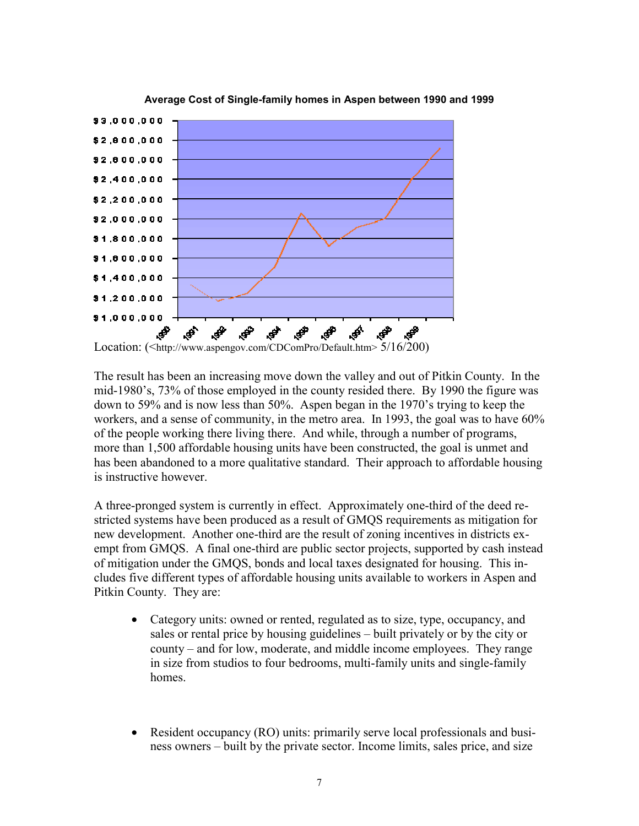

#### **Average Cost of Single-family homes in Aspen between 1990 and 1999**

Location: (<http://www.aspengov.com/CDComPro/Default.htm> 5/16/200)

The result has been an increasing move down the valley and out of Pitkin County. In the mid-1980's, 73% of those employed in the county resided there. By 1990 the figure was down to 59% and is now less than 50%. Aspen began in the 1970's trying to keep the workers, and a sense of community, in the metro area. In 1993, the goal was to have 60% of the people working there living there. And while, through a number of programs, more than 1,500 affordable housing units have been constructed, the goal is unmet and has been abandoned to a more qualitative standard. Their approach to affordable housing is instructive however.

A three-pronged system is currently in effect. Approximately one-third of the deed restricted systems have been produced as a result of GMQS requirements as mitigation for new development. Another one-third are the result of zoning incentives in districts exempt from GMQS. A final one-third are public sector projects, supported by cash instead of mitigation under the GMQS, bonds and local taxes designated for housing. This includes five different types of affordable housing units available to workers in Aspen and Pitkin County. They are:

- Category units: owned or rented, regulated as to size, type, occupancy, and sales or rental price by housing guidelines – built privately or by the city or county – and for low, moderate, and middle income employees. They range in size from studios to four bedrooms, multi-family units and single-family homes.
- Resident occupancy (RO) units: primarily serve local professionals and business owners – built by the private sector. Income limits, sales price, and size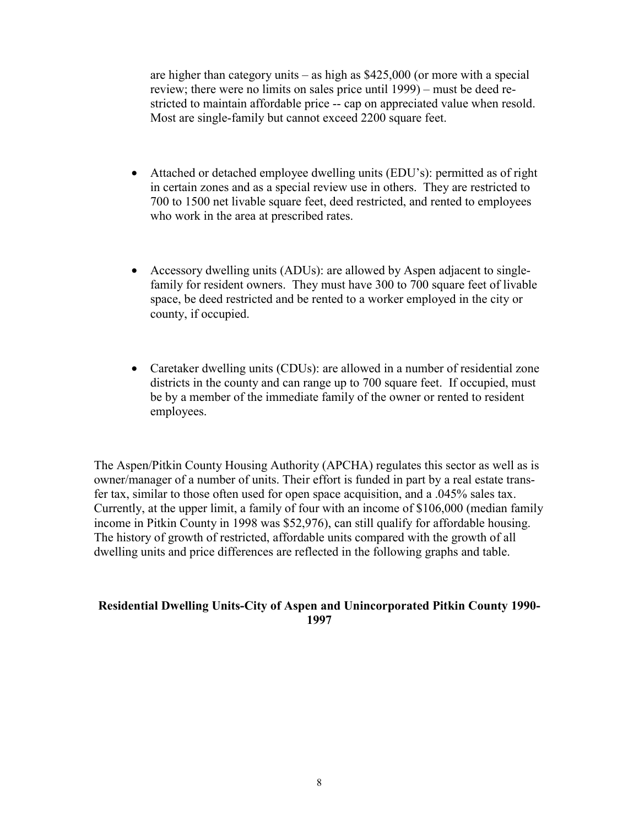are higher than category units  $-$  as high as \$425,000 (or more with a special review; there were no limits on sales price until 1999) – must be deed restricted to maintain affordable price -- cap on appreciated value when resold. Most are single-family but cannot exceed 2200 square feet.

- Attached or detached employee dwelling units (EDU's): permitted as of right in certain zones and as a special review use in others. They are restricted to 700 to 1500 net livable square feet, deed restricted, and rented to employees who work in the area at prescribed rates.
- Accessory dwelling units (ADUs): are allowed by Aspen adjacent to singlefamily for resident owners. They must have 300 to 700 square feet of livable space, be deed restricted and be rented to a worker employed in the city or county, if occupied.
- Caretaker dwelling units (CDUs): are allowed in a number of residential zone districts in the county and can range up to 700 square feet. If occupied, must be by a member of the immediate family of the owner or rented to resident employees.

The Aspen/Pitkin County Housing Authority (APCHA) regulates this sector as well as is owner/manager of a number of units. Their effort is funded in part by a real estate transfer tax, similar to those often used for open space acquisition, and a .045% sales tax. Currently, at the upper limit, a family of four with an income of \$106,000 (median family income in Pitkin County in 1998 was \$52,976), can still qualify for affordable housing. The history of growth of restricted, affordable units compared with the growth of all dwelling units and price differences are reflected in the following graphs and table.

#### **Residential Dwelling Units-City of Aspen and Unincorporated Pitkin County 1990- 1997**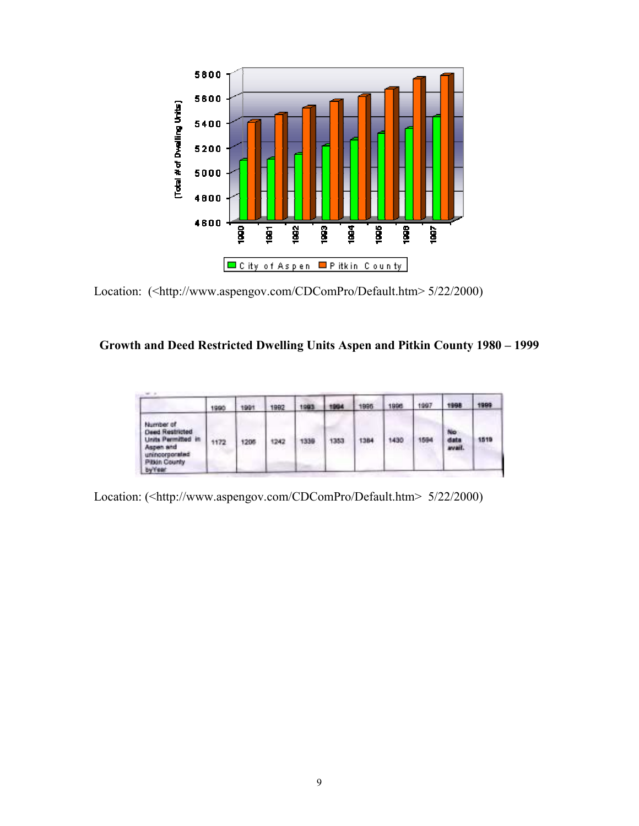

Location: (<http://www.aspengov.com/CDComPro/Default.htm> 5/22/2000)

# Growth and Deed Restricted Dwelling Units Aspen and Pitkin County 1980 - 1999

|                                                                                                                                           | 1990 | 1991 | 1992 | 1993 | 1994 | 1995 | 1996 | 1997 | 1998                  | 1999 |
|-------------------------------------------------------------------------------------------------------------------------------------------|------|------|------|------|------|------|------|------|-----------------------|------|
| Number of<br><b>Deed Restricted</b><br><b>Units Permitted in</b><br>Aspen and<br>unincorporated<br><b>Pitton County</b><br><b>by Year</b> | 1172 | 1205 | 1242 | 1338 | 1353 | 1384 | 1430 | 1594 | No:<br>data<br>avail. | 1519 |

Location: (<http://www.aspengov.com/CDComPro/Default.htm> 5/22/2000)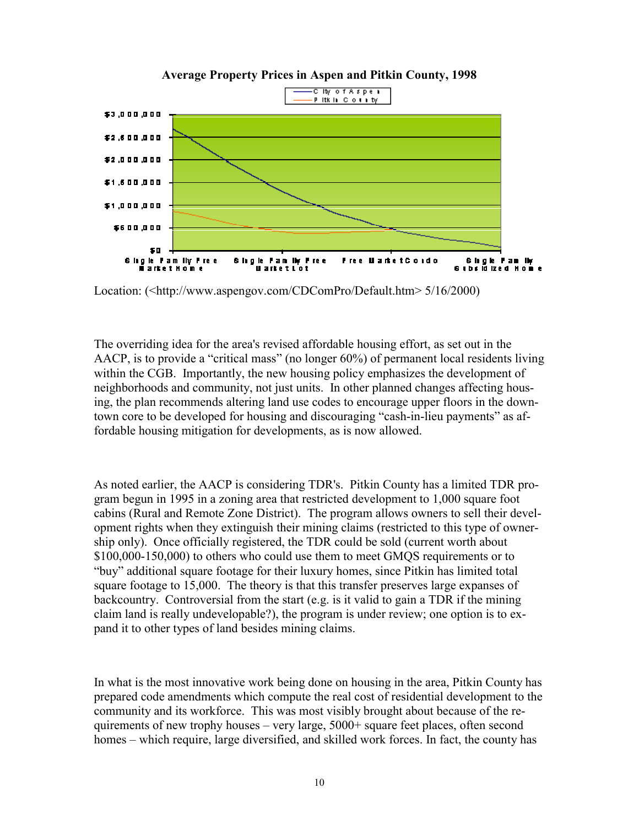

Location: (<http://www.aspengov.com/CDComPro/Default.htm> 5/16/2000)

The overriding idea for the area's revised affordable housing effort, as set out in the AACP, is to provide a "critical mass" (no longer  $60\%$ ) of permanent local residents living within the CGB. Importantly, the new housing policy emphasizes the development of neighborhoods and community, not just units. In other planned changes affecting housing, the plan recommends altering land use codes to encourage upper floors in the downtown core to be developed for housing and discouraging "cash-in-lieu payments" as affordable housing mitigation for developments, as is now allowed.

As noted earlier, the AACP is considering TDR's. Pitkin County has a limited TDR program begun in 1995 in a zoning area that restricted development to 1,000 square foot cabins (Rural and Remote Zone District). The program allows owners to sell their development rights when they extinguish their mining claims (restricted to this type of ownership only). Once officially registered, the TDR could be sold (current worth about \$100,000-150,000) to others who could use them to meet GMQS requirements or to ìbuyî additional square footage for their luxury homes, since Pitkin has limited total square footage to 15,000. The theory is that this transfer preserves large expanses of backcountry. Controversial from the start (e.g. is it valid to gain a TDR if the mining claim land is really undevelopable?), the program is under review; one option is to expand it to other types of land besides mining claims.

In what is the most innovative work being done on housing in the area, Pitkin County has prepared code amendments which compute the real cost of residential development to the community and its workforce. This was most visibly brought about because of the requirements of new trophy houses  $-$  very large,  $5000+$  square feet places, often second homes – which require, large diversified, and skilled work forces. In fact, the county has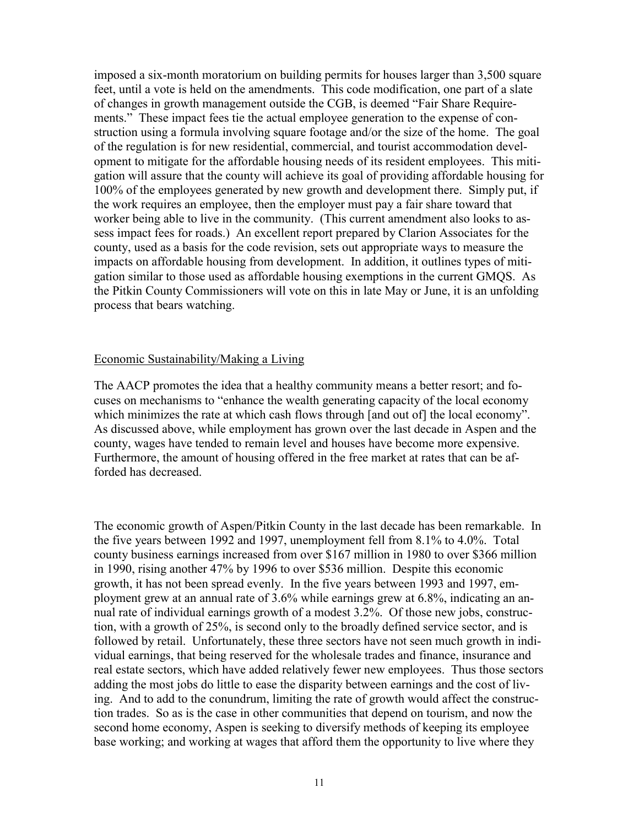imposed a six-month moratorium on building permits for houses larger than 3,500 square feet, until a vote is held on the amendments. This code modification, one part of a slate of changes in growth management outside the CGB, is deemed "Fair Share Requirements." These impact fees tie the actual employee generation to the expense of construction using a formula involving square footage and/or the size of the home. The goal of the regulation is for new residential, commercial, and tourist accommodation development to mitigate for the affordable housing needs of its resident employees. This mitigation will assure that the county will achieve its goal of providing affordable housing for 100% of the employees generated by new growth and development there. Simply put, if the work requires an employee, then the employer must pay a fair share toward that worker being able to live in the community. (This current amendment also looks to assess impact fees for roads.) An excellent report prepared by Clarion Associates for the county, used as a basis for the code revision, sets out appropriate ways to measure the impacts on affordable housing from development. In addition, it outlines types of mitigation similar to those used as affordable housing exemptions in the current GMQS. As the Pitkin County Commissioners will vote on this in late May or June, it is an unfolding process that bears watching.

#### Economic Sustainability/Making a Living

The AACP promotes the idea that a healthy community means a better resort; and focuses on mechanisms to "enhance the wealth generating capacity of the local economy which minimizes the rate at which cash flows through [and out of] the local economy". As discussed above, while employment has grown over the last decade in Aspen and the county, wages have tended to remain level and houses have become more expensive. Furthermore, the amount of housing offered in the free market at rates that can be afforded has decreased.

The economic growth of Aspen/Pitkin County in the last decade has been remarkable. In the five years between 1992 and 1997, unemployment fell from 8.1% to 4.0%. Total county business earnings increased from over \$167 million in 1980 to over \$366 million in 1990, rising another 47% by 1996 to over \$536 million. Despite this economic growth, it has not been spread evenly. In the five years between 1993 and 1997, employment grew at an annual rate of 3.6% while earnings grew at 6.8%, indicating an annual rate of individual earnings growth of a modest 3.2%. Of those new jobs, construction, with a growth of 25%, is second only to the broadly defined service sector, and is followed by retail. Unfortunately, these three sectors have not seen much growth in individual earnings, that being reserved for the wholesale trades and finance, insurance and real estate sectors, which have added relatively fewer new employees. Thus those sectors adding the most jobs do little to ease the disparity between earnings and the cost of living. And to add to the conundrum, limiting the rate of growth would affect the construction trades. So as is the case in other communities that depend on tourism, and now the second home economy, Aspen is seeking to diversify methods of keeping its employee base working; and working at wages that afford them the opportunity to live where they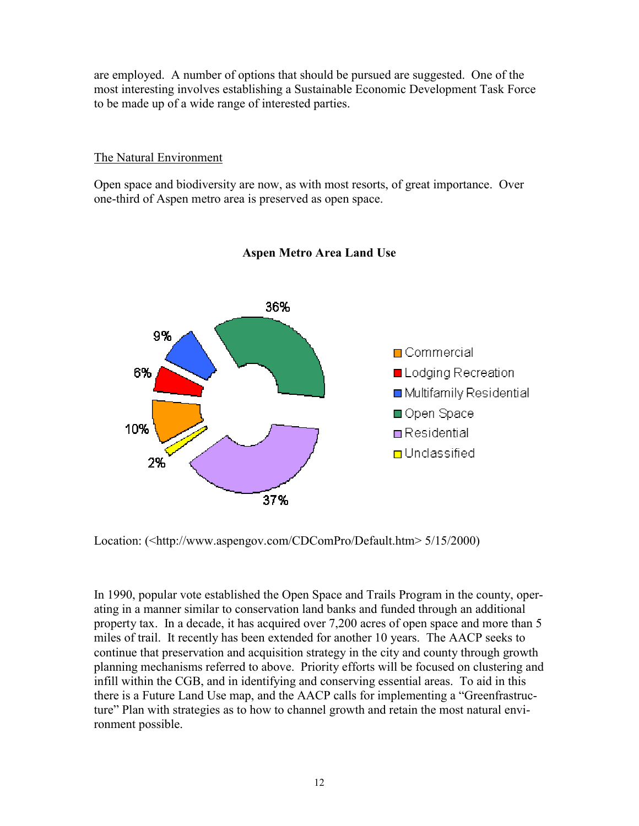are employed. A number of options that should be pursued are suggested. One of the most interesting involves establishing a Sustainable Economic Development Task Force to be made up of a wide range of interested parties.

## The Natural Environment

Open space and biodiversity are now, as with most resorts, of great importance. Over one-third of Aspen metro area is preserved as open space.



## **Aspen Metro Area Land Use**

Location: (<http://www.aspengov.com/CDComPro/Default.htm> 5/15/2000)

In 1990, popular vote established the Open Space and Trails Program in the county, operating in a manner similar to conservation land banks and funded through an additional property tax. In a decade, it has acquired over 7,200 acres of open space and more than 5 miles of trail. It recently has been extended for another 10 years. The AACP seeks to continue that preservation and acquisition strategy in the city and county through growth planning mechanisms referred to above. Priority efforts will be focused on clustering and infill within the CGB, and in identifying and conserving essential areas. To aid in this there is a Future Land Use map, and the AACP calls for implementing a "Greenfrastructure" Plan with strategies as to how to channel growth and retain the most natural environment possible.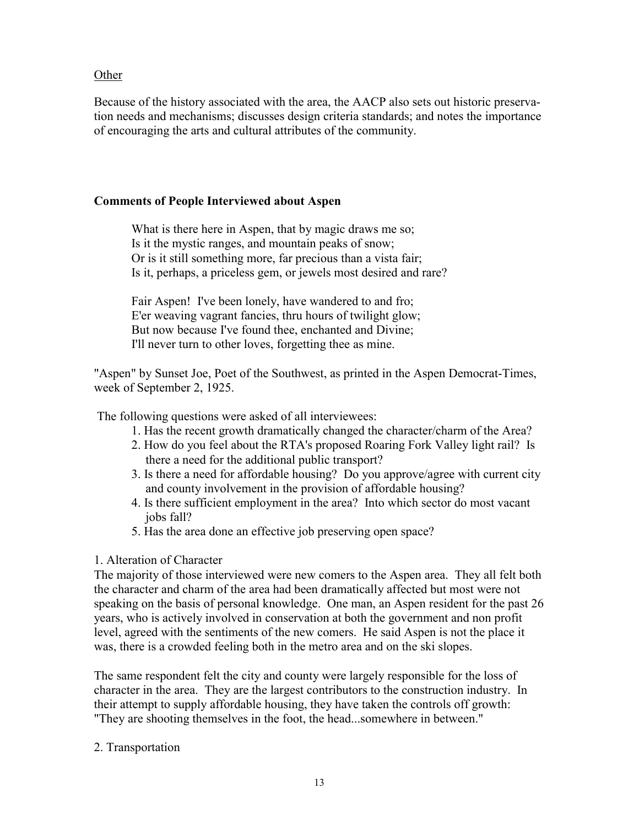## **Other**

Because of the history associated with the area, the AACP also sets out historic preservation needs and mechanisms; discusses design criteria standards; and notes the importance of encouraging the arts and cultural attributes of the community.

## **Comments of People Interviewed about Aspen**

What is there here in Aspen, that by magic draws me so; Is it the mystic ranges, and mountain peaks of snow; Or is it still something more, far precious than a vista fair; Is it, perhaps, a priceless gem, or jewels most desired and rare?

Fair Aspen! I've been lonely, have wandered to and fro; E'er weaving vagrant fancies, thru hours of twilight glow; But now because I've found thee, enchanted and Divine; I'll never turn to other loves, forgetting thee as mine.

"Aspen" by Sunset Joe, Poet of the Southwest, as printed in the Aspen Democrat-Times, week of September 2, 1925.

The following questions were asked of all interviewees:

- 1. Has the recent growth dramatically changed the character/charm of the Area?
- 2. How do you feel about the RTA's proposed Roaring Fork Valley light rail? Is there a need for the additional public transport?
- 3. Is there a need for affordable housing? Do you approve/agree with current city and county involvement in the provision of affordable housing?
- 4. Is there sufficient employment in the area? Into which sector do most vacant jobs fall?
- 5. Has the area done an effective job preserving open space?

## 1. Alteration of Character

The majority of those interviewed were new comers to the Aspen area. They all felt both the character and charm of the area had been dramatically affected but most were not speaking on the basis of personal knowledge. One man, an Aspen resident for the past 26 years, who is actively involved in conservation at both the government and non profit level, agreed with the sentiments of the new comers. He said Aspen is not the place it was, there is a crowded feeling both in the metro area and on the ski slopes.

The same respondent felt the city and county were largely responsible for the loss of character in the area. They are the largest contributors to the construction industry. In their attempt to supply affordable housing, they have taken the controls off growth: "They are shooting themselves in the foot, the head...somewhere in between."

## 2. Transportation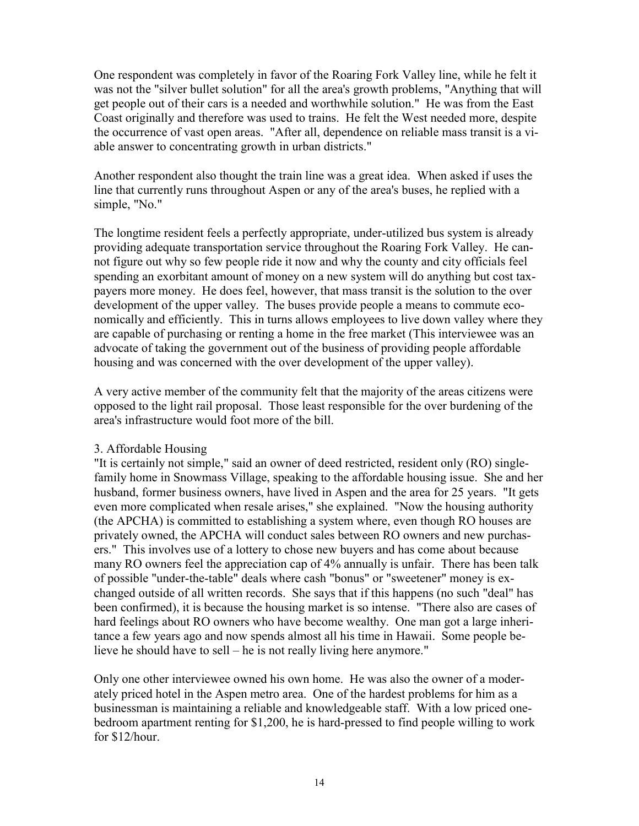One respondent was completely in favor of the Roaring Fork Valley line, while he felt it was not the "silver bullet solution" for all the area's growth problems, "Anything that will get people out of their cars is a needed and worthwhile solution." He was from the East Coast originally and therefore was used to trains. He felt the West needed more, despite the occurrence of vast open areas. "After all, dependence on reliable mass transit is a viable answer to concentrating growth in urban districts."

Another respondent also thought the train line was a great idea. When asked if uses the line that currently runs throughout Aspen or any of the area's buses, he replied with a simple, "No."

The longtime resident feels a perfectly appropriate, under-utilized bus system is already providing adequate transportation service throughout the Roaring Fork Valley. He cannot figure out why so few people ride it now and why the county and city officials feel spending an exorbitant amount of money on a new system will do anything but cost taxpayers more money. He does feel, however, that mass transit is the solution to the over development of the upper valley. The buses provide people a means to commute economically and efficiently. This in turns allows employees to live down valley where they are capable of purchasing or renting a home in the free market (This interviewee was an advocate of taking the government out of the business of providing people affordable housing and was concerned with the over development of the upper valley).

A very active member of the community felt that the majority of the areas citizens were opposed to the light rail proposal. Those least responsible for the over burdening of the area's infrastructure would foot more of the bill.

#### 3. Affordable Housing

"It is certainly not simple," said an owner of deed restricted, resident only (RO) singlefamily home in Snowmass Village, speaking to the affordable housing issue. She and her husband, former business owners, have lived in Aspen and the area for 25 years. "It gets even more complicated when resale arises," she explained. "Now the housing authority (the APCHA) is committed to establishing a system where, even though RO houses are privately owned, the APCHA will conduct sales between RO owners and new purchasers." This involves use of a lottery to chose new buyers and has come about because many RO owners feel the appreciation cap of 4% annually is unfair. There has been talk of possible "under-the-table" deals where cash "bonus" or "sweetener" money is exchanged outside of all written records. She says that if this happens (no such "deal" has been confirmed), it is because the housing market is so intense. "There also are cases of hard feelings about RO owners who have become wealthy. One man got a large inheritance a few years ago and now spends almost all his time in Hawaii. Some people believe he should have to sell – he is not really living here anymore."

Only one other interviewee owned his own home. He was also the owner of a moderately priced hotel in the Aspen metro area. One of the hardest problems for him as a businessman is maintaining a reliable and knowledgeable staff. With a low priced onebedroom apartment renting for \$1,200, he is hard-pressed to find people willing to work for \$12/hour.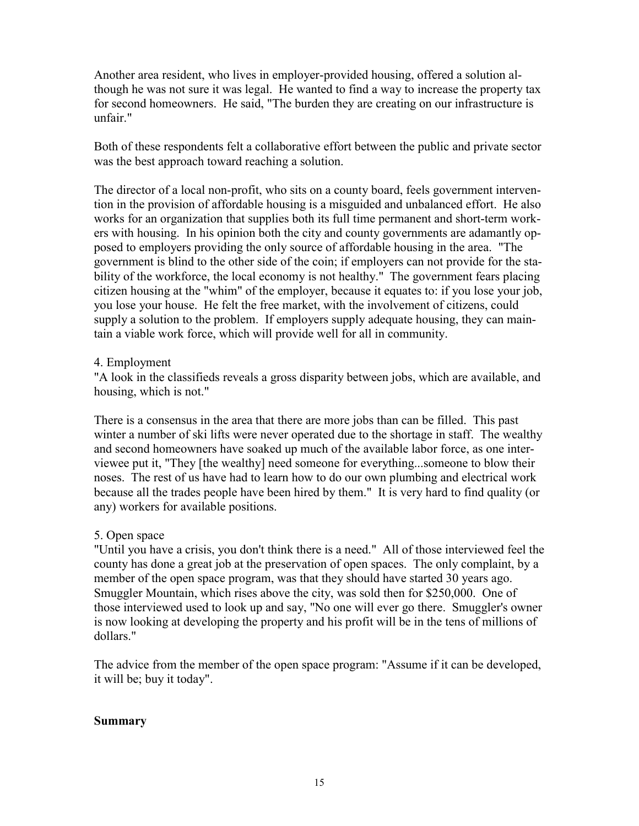Another area resident, who lives in employer-provided housing, offered a solution although he was not sure it was legal. He wanted to find a way to increase the property tax for second homeowners. He said, "The burden they are creating on our infrastructure is unfair."

Both of these respondents felt a collaborative effort between the public and private sector was the best approach toward reaching a solution.

The director of a local non-profit, who sits on a county board, feels government intervention in the provision of affordable housing is a misguided and unbalanced effort. He also works for an organization that supplies both its full time permanent and short-term workers with housing. In his opinion both the city and county governments are adamantly opposed to employers providing the only source of affordable housing in the area. "The government is blind to the other side of the coin; if employers can not provide for the stability of the workforce, the local economy is not healthy." The government fears placing citizen housing at the "whim" of the employer, because it equates to: if you lose your job, you lose your house. He felt the free market, with the involvement of citizens, could supply a solution to the problem. If employers supply adequate housing, they can maintain a viable work force, which will provide well for all in community.

#### 4. Employment

"A look in the classifieds reveals a gross disparity between jobs, which are available, and housing, which is not."

There is a consensus in the area that there are more jobs than can be filled. This past winter a number of ski lifts were never operated due to the shortage in staff. The wealthy and second homeowners have soaked up much of the available labor force, as one interviewee put it, "They [the wealthy] need someone for everything...someone to blow their noses. The rest of us have had to learn how to do our own plumbing and electrical work because all the trades people have been hired by them." It is very hard to find quality (or any) workers for available positions.

## 5. Open space

"Until you have a crisis, you don't think there is a need." All of those interviewed feel the county has done a great job at the preservation of open spaces. The only complaint, by a member of the open space program, was that they should have started 30 years ago. Smuggler Mountain, which rises above the city, was sold then for \$250,000. One of those interviewed used to look up and say, "No one will ever go there. Smuggler's owner is now looking at developing the property and his profit will be in the tens of millions of dollars."

The advice from the member of the open space program: "Assume if it can be developed, it will be; buy it today".

#### **Summary**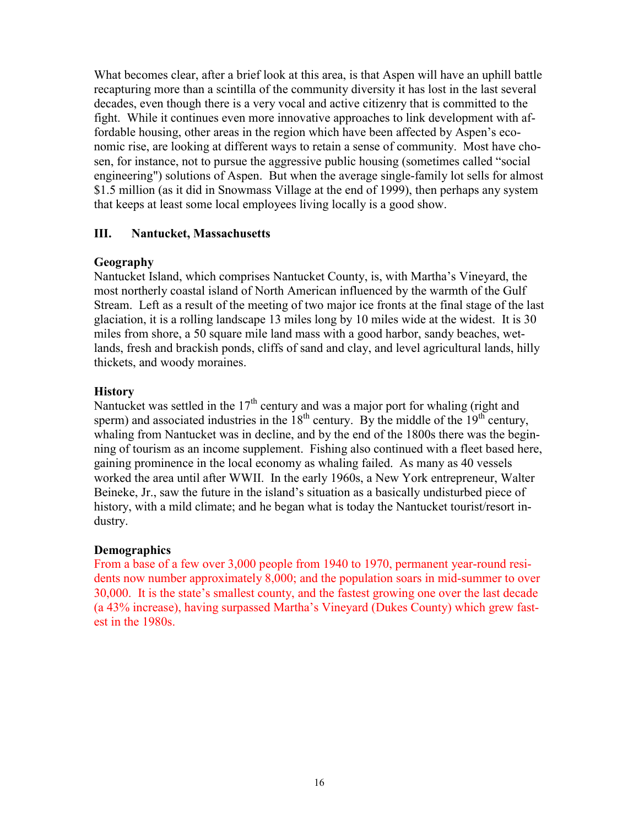What becomes clear, after a brief look at this area, is that Aspen will have an uphill battle recapturing more than a scintilla of the community diversity it has lost in the last several decades, even though there is a very vocal and active citizenry that is committed to the fight. While it continues even more innovative approaches to link development with affordable housing, other areas in the region which have been affected by Aspen's economic rise, are looking at different ways to retain a sense of community. Most have chosen, for instance, not to pursue the aggressive public housing (sometimes called "social engineering") solutions of Aspen. But when the average single-family lot sells for almost \$1.5 million (as it did in Snowmass Village at the end of 1999), then perhaps any system that keeps at least some local employees living locally is a good show.

## **III. Nantucket, Massachusetts**

## **Geography**

Nantucket Island, which comprises Nantucket County, is, with Martha's Vineyard, the most northerly coastal island of North American influenced by the warmth of the Gulf Stream. Left as a result of the meeting of two major ice fronts at the final stage of the last glaciation, it is a rolling landscape 13 miles long by 10 miles wide at the widest. It is 30 miles from shore, a 50 square mile land mass with a good harbor, sandy beaches, wetlands, fresh and brackish ponds, cliffs of sand and clay, and level agricultural lands, hilly thickets, and woody moraines.

## **History**

Nantucket was settled in the  $17<sup>th</sup>$  century and was a major port for whaling (right and sperm) and associated industries in the  $18<sup>th</sup>$  century. By the middle of the  $19<sup>th</sup>$  century, whaling from Nantucket was in decline, and by the end of the 1800s there was the beginning of tourism as an income supplement. Fishing also continued with a fleet based here, gaining prominence in the local economy as whaling failed. As many as 40 vessels worked the area until after WWII. In the early 1960s, a New York entrepreneur, Walter Beineke, Jr., saw the future in the island's situation as a basically undisturbed piece of history, with a mild climate; and he began what is today the Nantucket tourist/resort industry.

#### **Demographics**

From a base of a few over 3,000 people from 1940 to 1970, permanent year-round residents now number approximately 8,000; and the population soars in mid-summer to over 30,000. It is the stateís smallest county, and the fastest growing one over the last decade (a 43% increase), having surpassed Marthaís Vineyard (Dukes County) which grew fastest in the 1980s.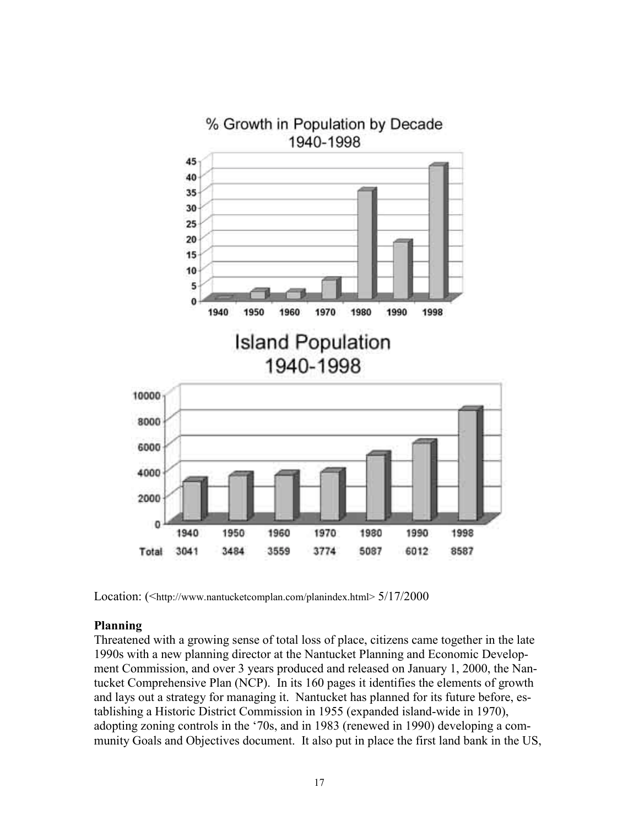

Location: (<http://www.nantucketcomplan.com/planindex.html> 5/17/2000

#### **Planning**

Threatened with a growing sense of total loss of place, citizens came together in the late 1990s with a new planning director at the Nantucket Planning and Economic Development Commission, and over 3 years produced and released on January 1, 2000, the Nantucket Comprehensive Plan (NCP). In its 160 pages it identifies the elements of growth and lays out a strategy for managing it. Nantucket has planned for its future before, establishing a Historic District Commission in 1955 (expanded island-wide in 1970), adopting zoning controls in the '70s, and in 1983 (renewed in 1990) developing a community Goals and Objectives document. It also put in place the first land bank in the US,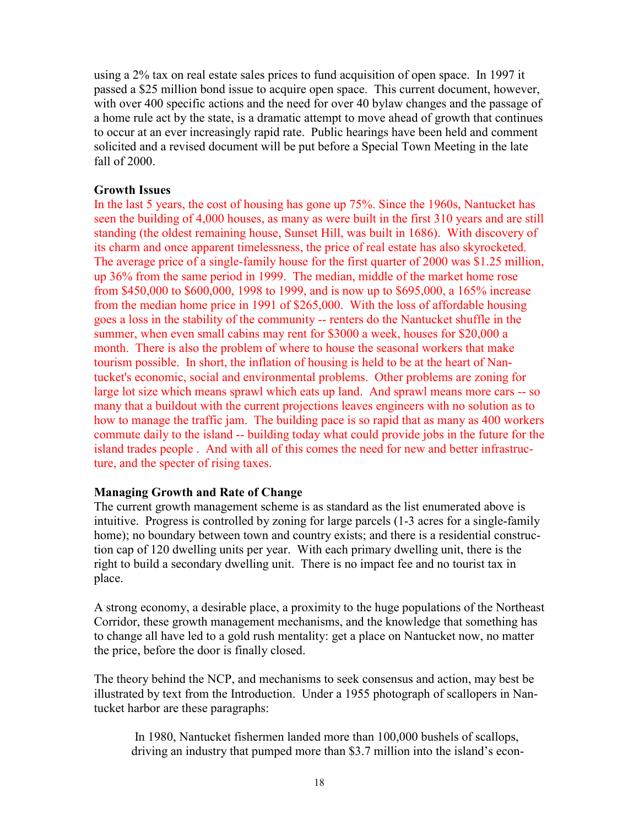using a 2% tax on real estate sales prices to fund acquisition of open space. In 1997 it passed a \$25 million bond issue to acquire open space. This current document, however, with over 400 specific actions and the need for over 40 bylaw changes and the passage of a home rule act by the state, is a dramatic attempt to move ahead of growth that continues to occur at an ever increasingly rapid rate. Public hearings have been held and comment solicited and a revised document will be put before a Special Town Meeting in the late fall of 2000.

### **Growth Issues**

In the last 5 years, the cost of housing has gone up 75%. Since the 1960s, Nantucket has seen the building of 4,000 houses, as many as were built in the first 310 years and are still standing (the oldest remaining house, Sunset Hill, was built in 1686). With discovery of its charm and once apparent timelessness, the price of real estate has also skyrocketed. The average price of a single-family house for the first quarter of 2000 was \$1.25 million, up 36% from the same period in 1999. The median, middle of the market home rose from \$450,000 to \$600,000, 1998 to 1999, and is now up to \$695,000, a 165% increase from the median home price in 1991 of \$265,000. With the loss of affordable housing goes a loss in the stability of the community -- renters do the Nantucket shuffle in the summer, when even small cabins may rent for \$3000 a week, houses for \$20,000 a month. There is also the problem of where to house the seasonal workers that make tourism possible. In short, the inflation of housing is held to be at the heart of Nantucket's economic, social and environmental problems. Other problems are zoning for large lot size which means sprawl which eats up land. And sprawl means more cars -- so many that a buildout with the current projections leaves engineers with no solution as to how to manage the traffic jam. The building pace is so rapid that as many as 400 workers commute daily to the island -- building today what could provide jobs in the future for the island trades people . And with all of this comes the need for new and better infrastructure, and the specter of rising taxes.

## **Managing Growth and Rate of Change**

The current growth management scheme is as standard as the list enumerated above is intuitive. Progress is controlled by zoning for large parcels (1-3 acres for a single-family home); no boundary between town and country exists; and there is a residential construction cap of 120 dwelling units per year. With each primary dwelling unit, there is the right to build a secondary dwelling unit. There is no impact fee and no tourist tax in place.

A strong economy, a desirable place, a proximity to the huge populations of the Northeast Corridor, these growth management mechanisms, and the knowledge that something has to change all have led to a gold rush mentality: get a place on Nantucket now, no matter the price, before the door is finally closed.

The theory behind the NCP, and mechanisms to seek consensus and action, may best be illustrated by text from the Introduction. Under a 1955 photograph of scallopers in Nantucket harbor are these paragraphs:

 In 1980, Nantucket fishermen landed more than 100,000 bushels of scallops, driving an industry that pumped more than \$3.7 million into the island's econ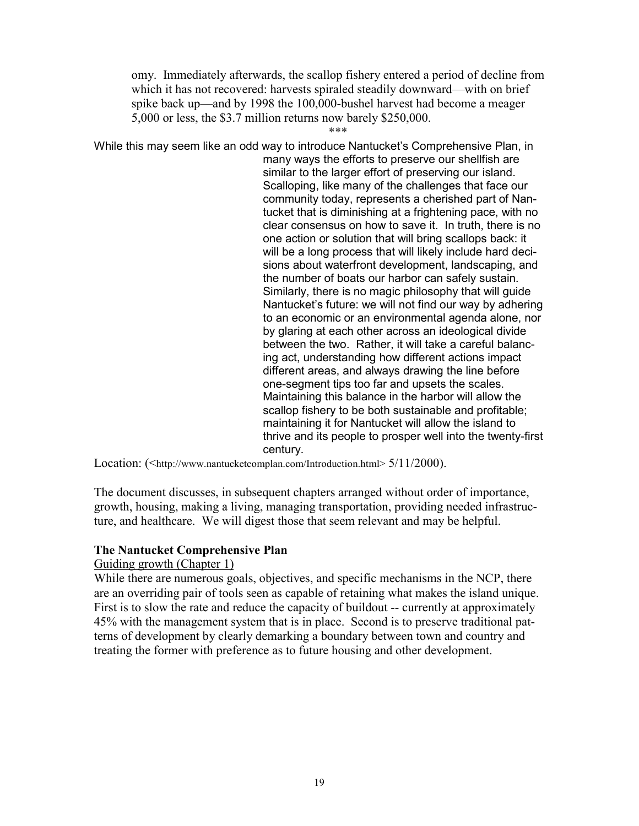omy. Immediately afterwards, the scallop fishery entered a period of decline from which it has not recovered: harvests spiraled steadily downward—with on brief spike back up—and by 1998 the 100,000-bushel harvest had become a meager 5,000 or less, the \$3.7 million returns now barely \$250,000.

\*\*\*

While this may seem like an odd way to introduce Nantucket's Comprehensive Plan, in many ways the efforts to preserve our shellfish are similar to the larger effort of preserving our island. Scalloping, like many of the challenges that face our community today, represents a cherished part of Nantucket that is diminishing at a frightening pace, with no clear consensus on how to save it. In truth, there is no one action or solution that will bring scallops back: it will be a long process that will likely include hard decisions about waterfront development, landscaping, and the number of boats our harbor can safely sustain. Similarly, there is no magic philosophy that will guide Nantucket's future: we will not find our way by adhering to an economic or an environmental agenda alone, nor by glaring at each other across an ideological divide between the two. Rather, it will take a careful balancing act, understanding how different actions impact different areas, and always drawing the line before one-segment tips too far and upsets the scales. Maintaining this balance in the harbor will allow the scallop fishery to be both sustainable and profitable; maintaining it for Nantucket will allow the island to thrive and its people to prosper well into the twenty-first century.

Location: (<http://www.nantucketcomplan.com/Introduction.html> 5/11/2000).

The document discusses, in subsequent chapters arranged without order of importance, growth, housing, making a living, managing transportation, providing needed infrastructure, and healthcare. We will digest those that seem relevant and may be helpful.

#### **The Nantucket Comprehensive Plan**

#### Guiding growth (Chapter 1)

While there are numerous goals, objectives, and specific mechanisms in the NCP, there are an overriding pair of tools seen as capable of retaining what makes the island unique. First is to slow the rate and reduce the capacity of buildout -- currently at approximately 45% with the management system that is in place. Second is to preserve traditional patterns of development by clearly demarking a boundary between town and country and treating the former with preference as to future housing and other development.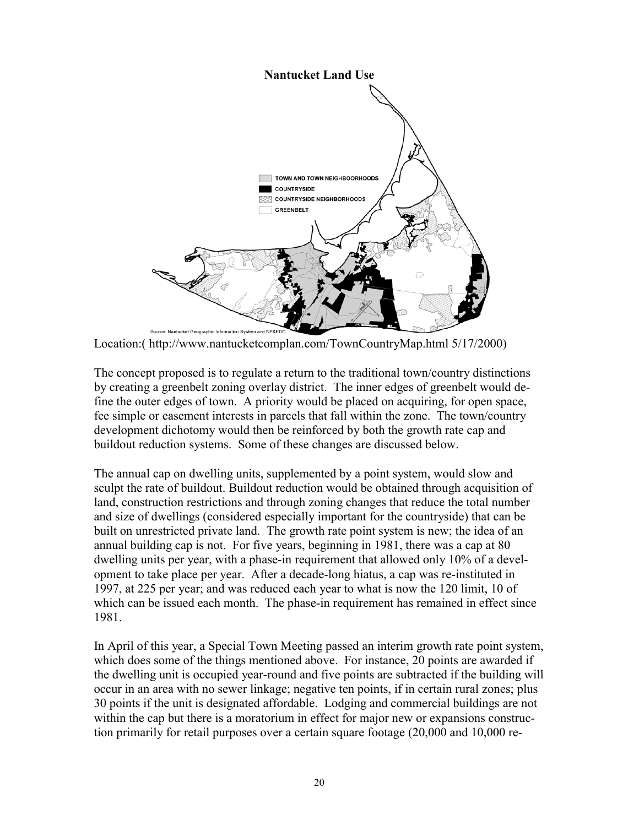

Location:( http://www.nantucketcomplan.com/TownCountryMap.html 5/17/2000)

The concept proposed is to regulate a return to the traditional town/country distinctions by creating a greenbelt zoning overlay district. The inner edges of greenbelt would define the outer edges of town. A priority would be placed on acquiring, for open space, fee simple or easement interests in parcels that fall within the zone. The town/country development dichotomy would then be reinforced by both the growth rate cap and buildout reduction systems. Some of these changes are discussed below.

The annual cap on dwelling units, supplemented by a point system, would slow and sculpt the rate of buildout. Buildout reduction would be obtained through acquisition of land, construction restrictions and through zoning changes that reduce the total number and size of dwellings (considered especially important for the countryside) that can be built on unrestricted private land. The growth rate point system is new; the idea of an annual building cap is not. For five years, beginning in 1981, there was a cap at 80 dwelling units per year, with a phase-in requirement that allowed only 10% of a development to take place per year. After a decade-long hiatus, a cap was re-instituted in 1997, at 225 per year; and was reduced each year to what is now the 120 limit, 10 of which can be issued each month. The phase-in requirement has remained in effect since 1981.

In April of this year, a Special Town Meeting passed an interim growth rate point system, which does some of the things mentioned above. For instance, 20 points are awarded if the dwelling unit is occupied year-round and five points are subtracted if the building will occur in an area with no sewer linkage; negative ten points, if in certain rural zones; plus 30 points if the unit is designated affordable. Lodging and commercial buildings are not within the cap but there is a moratorium in effect for major new or expansions construction primarily for retail purposes over a certain square footage (20,000 and 10,000 re-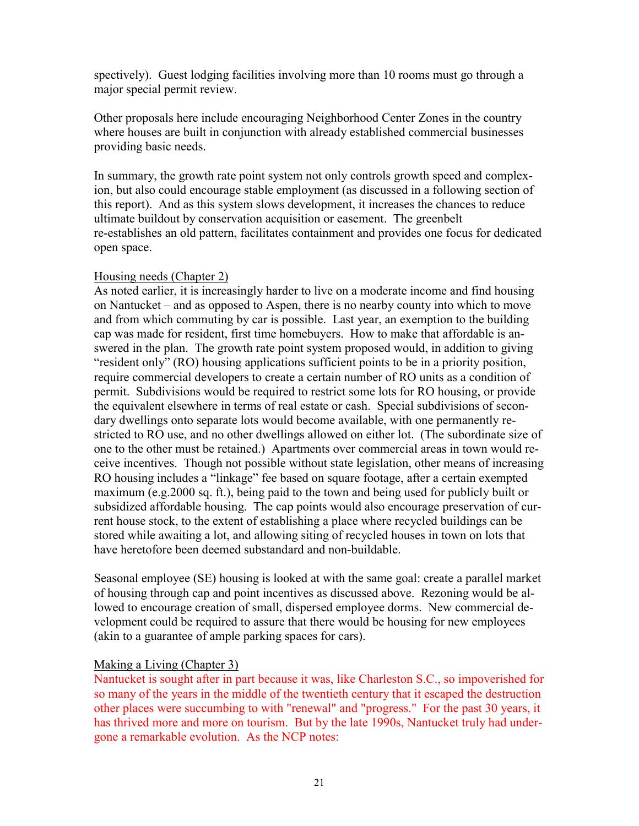spectively). Guest lodging facilities involving more than 10 rooms must go through a major special permit review.

Other proposals here include encouraging Neighborhood Center Zones in the country where houses are built in conjunction with already established commercial businesses providing basic needs.

In summary, the growth rate point system not only controls growth speed and complexion, but also could encourage stable employment (as discussed in a following section of this report). And as this system slows development, it increases the chances to reduce ultimate buildout by conservation acquisition or easement. The greenbelt re-establishes an old pattern, facilitates containment and provides one focus for dedicated open space.

#### Housing needs (Chapter 2)

As noted earlier, it is increasingly harder to live on a moderate income and find housing on Nantucket – and as opposed to Aspen, there is no nearby county into which to move and from which commuting by car is possible. Last year, an exemption to the building cap was made for resident, first time homebuyers. How to make that affordable is answered in the plan. The growth rate point system proposed would, in addition to giving ìresident onlyî (RO) housing applications sufficient points to be in a priority position, require commercial developers to create a certain number of RO units as a condition of permit. Subdivisions would be required to restrict some lots for RO housing, or provide the equivalent elsewhere in terms of real estate or cash. Special subdivisions of secondary dwellings onto separate lots would become available, with one permanently restricted to RO use, and no other dwellings allowed on either lot. (The subordinate size of one to the other must be retained.) Apartments over commercial areas in town would receive incentives. Though not possible without state legislation, other means of increasing RO housing includes a "linkage" fee based on square footage, after a certain exempted maximum (e.g.2000 sq. ft.), being paid to the town and being used for publicly built or subsidized affordable housing. The cap points would also encourage preservation of current house stock, to the extent of establishing a place where recycled buildings can be stored while awaiting a lot, and allowing siting of recycled houses in town on lots that have heretofore been deemed substandard and non-buildable.

Seasonal employee (SE) housing is looked at with the same goal: create a parallel market of housing through cap and point incentives as discussed above. Rezoning would be allowed to encourage creation of small, dispersed employee dorms. New commercial development could be required to assure that there would be housing for new employees (akin to a guarantee of ample parking spaces for cars).

## Making a Living (Chapter 3)

Nantucket is sought after in part because it was, like Charleston S.C., so impoverished for so many of the years in the middle of the twentieth century that it escaped the destruction other places were succumbing to with "renewal" and "progress." For the past 30 years, it has thrived more and more on tourism. But by the late 1990s, Nantucket truly had undergone a remarkable evolution. As the NCP notes: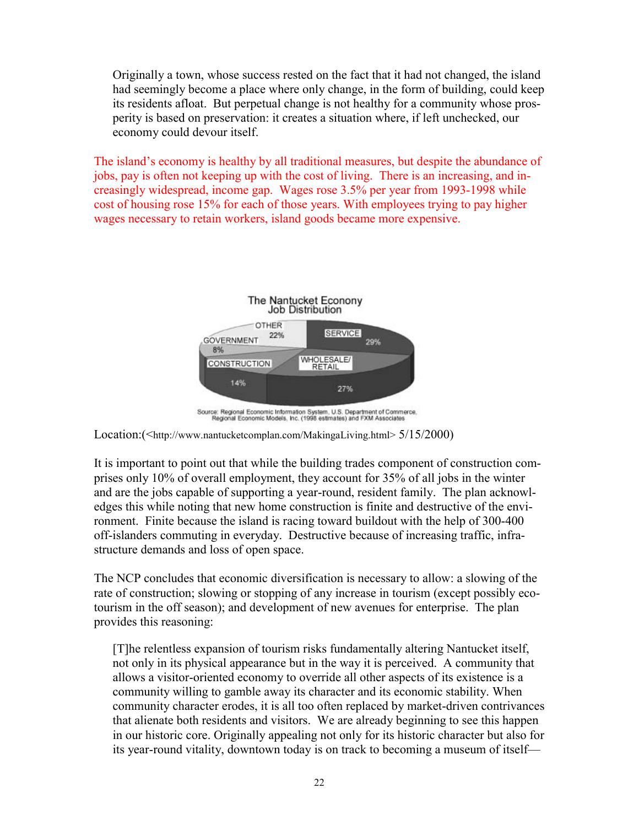Originally a town, whose success rested on the fact that it had not changed, the island had seemingly become a place where only change, in the form of building, could keep its residents afloat. But perpetual change is not healthy for a community whose prosperity is based on preservation: it creates a situation where, if left unchecked, our economy could devour itself.

The island's economy is healthy by all traditional measures, but despite the abundance of jobs, pay is often not keeping up with the cost of living. There is an increasing, and increasingly widespread, income gap. Wages rose 3.5% per year from 1993-1998 while cost of housing rose 15% for each of those years. With employees trying to pay higher wages necessary to retain workers, island goods became more expensive.



Location:(<http://www.nantucketcomplan.com/MakingaLiving.html> 5/15/2000)

It is important to point out that while the building trades component of construction comprises only 10% of overall employment, they account for 35% of all jobs in the winter and are the jobs capable of supporting a year-round, resident family. The plan acknowledges this while noting that new home construction is finite and destructive of the environment. Finite because the island is racing toward buildout with the help of 300-400 off-islanders commuting in everyday. Destructive because of increasing traffic, infrastructure demands and loss of open space.

The NCP concludes that economic diversification is necessary to allow: a slowing of the rate of construction; slowing or stopping of any increase in tourism (except possibly ecotourism in the off season); and development of new avenues for enterprise. The plan provides this reasoning:

[T]he relentless expansion of tourism risks fundamentally altering Nantucket itself, not only in its physical appearance but in the way it is perceived. A community that allows a visitor-oriented economy to override all other aspects of its existence is a community willing to gamble away its character and its economic stability. When community character erodes, it is all too often replaced by market-driven contrivances that alienate both residents and visitors. We are already beginning to see this happen in our historic core. Originally appealing not only for its historic character but also for its year-round vitality, downtown today is on track to becoming a museum of itself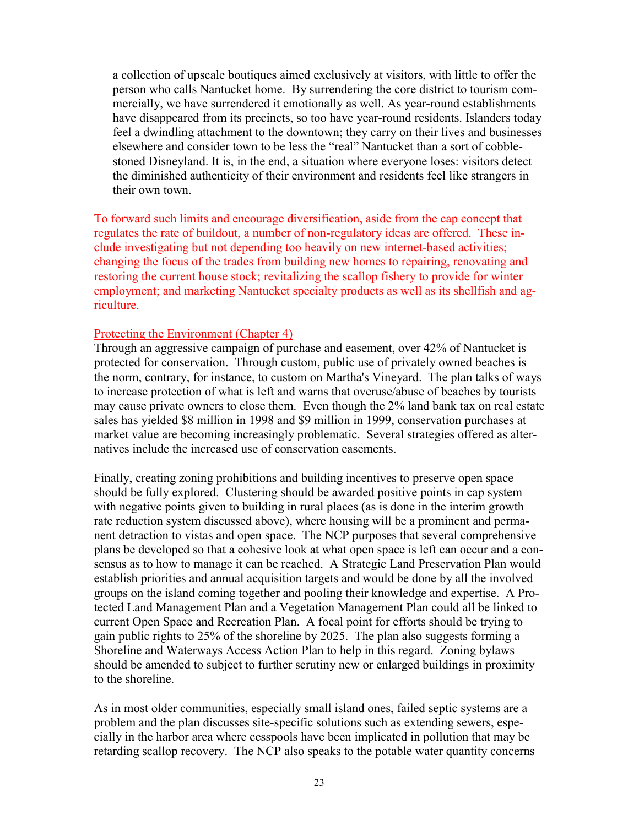a collection of upscale boutiques aimed exclusively at visitors, with little to offer the person who calls Nantucket home. By surrendering the core district to tourism commercially, we have surrendered it emotionally as well. As year-round establishments have disappeared from its precincts, so too have year-round residents. Islanders today feel a dwindling attachment to the downtown; they carry on their lives and businesses elsewhere and consider town to be less the "real" Nantucket than a sort of cobblestoned Disneyland. It is, in the end, a situation where everyone loses: visitors detect the diminished authenticity of their environment and residents feel like strangers in their own town.

To forward such limits and encourage diversification, aside from the cap concept that regulates the rate of buildout, a number of non-regulatory ideas are offered. These include investigating but not depending too heavily on new internet-based activities; changing the focus of the trades from building new homes to repairing, renovating and restoring the current house stock; revitalizing the scallop fishery to provide for winter employment; and marketing Nantucket specialty products as well as its shellfish and agriculture.

#### Protecting the Environment (Chapter 4)

Through an aggressive campaign of purchase and easement, over 42% of Nantucket is protected for conservation. Through custom, public use of privately owned beaches is the norm, contrary, for instance, to custom on Martha's Vineyard. The plan talks of ways to increase protection of what is left and warns that overuse/abuse of beaches by tourists may cause private owners to close them. Even though the 2% land bank tax on real estate sales has yielded \$8 million in 1998 and \$9 million in 1999, conservation purchases at market value are becoming increasingly problematic. Several strategies offered as alternatives include the increased use of conservation easements.

Finally, creating zoning prohibitions and building incentives to preserve open space should be fully explored. Clustering should be awarded positive points in cap system with negative points given to building in rural places (as is done in the interim growth rate reduction system discussed above), where housing will be a prominent and permanent detraction to vistas and open space. The NCP purposes that several comprehensive plans be developed so that a cohesive look at what open space is left can occur and a consensus as to how to manage it can be reached. A Strategic Land Preservation Plan would establish priorities and annual acquisition targets and would be done by all the involved groups on the island coming together and pooling their knowledge and expertise. A Protected Land Management Plan and a Vegetation Management Plan could all be linked to current Open Space and Recreation Plan. A focal point for efforts should be trying to gain public rights to 25% of the shoreline by 2025. The plan also suggests forming a Shoreline and Waterways Access Action Plan to help in this regard. Zoning bylaws should be amended to subject to further scrutiny new or enlarged buildings in proximity to the shoreline.

As in most older communities, especially small island ones, failed septic systems are a problem and the plan discusses site-specific solutions such as extending sewers, especially in the harbor area where cesspools have been implicated in pollution that may be retarding scallop recovery. The NCP also speaks to the potable water quantity concerns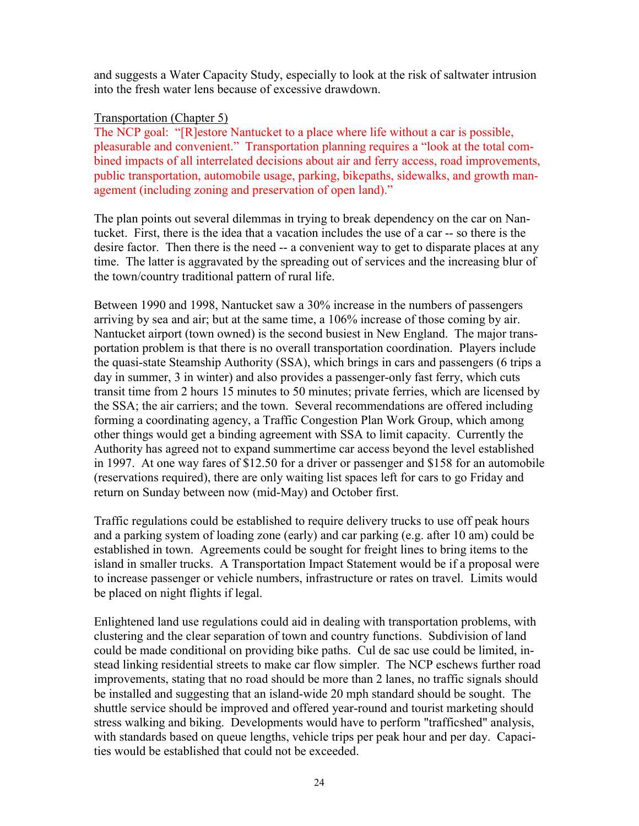and suggests a Water Capacity Study, especially to look at the risk of saltwater intrusion into the fresh water lens because of excessive drawdown.

## Transportation (Chapter 5)

The NCP goal: "[R]estore Nantucket to a place where life without a car is possible, pleasurable and convenient." Transportation planning requires a "look at the total combined impacts of all interrelated decisions about air and ferry access, road improvements, public transportation, automobile usage, parking, bikepaths, sidewalks, and growth management (including zoning and preservation of open land).<sup>n</sup>

The plan points out several dilemmas in trying to break dependency on the car on Nantucket. First, there is the idea that a vacation includes the use of a car -- so there is the desire factor. Then there is the need -- a convenient way to get to disparate places at any time. The latter is aggravated by the spreading out of services and the increasing blur of the town/country traditional pattern of rural life.

Between 1990 and 1998, Nantucket saw a 30% increase in the numbers of passengers arriving by sea and air; but at the same time, a 106% increase of those coming by air. Nantucket airport (town owned) is the second busiest in New England. The major transportation problem is that there is no overall transportation coordination. Players include the quasi-state Steamship Authority (SSA), which brings in cars and passengers (6 trips a day in summer, 3 in winter) and also provides a passenger-only fast ferry, which cuts transit time from 2 hours 15 minutes to 50 minutes; private ferries, which are licensed by the SSA; the air carriers; and the town. Several recommendations are offered including forming a coordinating agency, a Traffic Congestion Plan Work Group, which among other things would get a binding agreement with SSA to limit capacity. Currently the Authority has agreed not to expand summertime car access beyond the level established in 1997. At one way fares of \$12.50 for a driver or passenger and \$158 for an automobile (reservations required), there are only waiting list spaces left for cars to go Friday and return on Sunday between now (mid-May) and October first.

Traffic regulations could be established to require delivery trucks to use off peak hours and a parking system of loading zone (early) and car parking (e.g. after 10 am) could be established in town. Agreements could be sought for freight lines to bring items to the island in smaller trucks. A Transportation Impact Statement would be if a proposal were to increase passenger or vehicle numbers, infrastructure or rates on travel. Limits would be placed on night flights if legal.

Enlightened land use regulations could aid in dealing with transportation problems, with clustering and the clear separation of town and country functions. Subdivision of land could be made conditional on providing bike paths. Cul de sac use could be limited, instead linking residential streets to make car flow simpler. The NCP eschews further road improvements, stating that no road should be more than 2 lanes, no traffic signals should be installed and suggesting that an island-wide 20 mph standard should be sought. The shuttle service should be improved and offered year-round and tourist marketing should stress walking and biking. Developments would have to perform "trafficshed" analysis, with standards based on queue lengths, vehicle trips per peak hour and per day. Capacities would be established that could not be exceeded.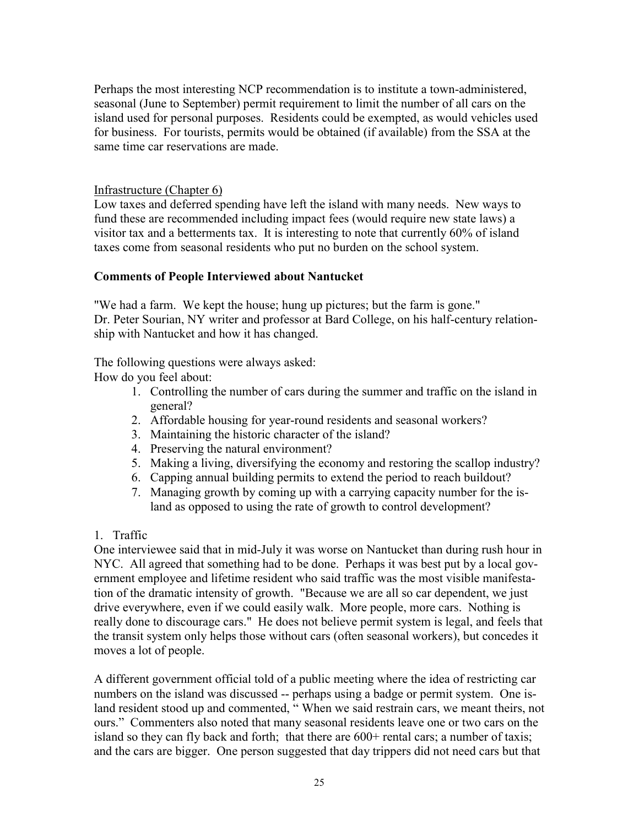Perhaps the most interesting NCP recommendation is to institute a town-administered, seasonal (June to September) permit requirement to limit the number of all cars on the island used for personal purposes. Residents could be exempted, as would vehicles used for business. For tourists, permits would be obtained (if available) from the SSA at the same time car reservations are made.

## Infrastructure (Chapter 6)

Low taxes and deferred spending have left the island with many needs. New ways to fund these are recommended including impact fees (would require new state laws) a visitor tax and a betterments tax. It is interesting to note that currently 60% of island taxes come from seasonal residents who put no burden on the school system.

## **Comments of People Interviewed about Nantucket**

"We had a farm. We kept the house; hung up pictures; but the farm is gone." Dr. Peter Sourian, NY writer and professor at Bard College, on his half-century relationship with Nantucket and how it has changed.

The following questions were always asked:

How do you feel about:

- 1. Controlling the number of cars during the summer and traffic on the island in general?
- 2. Affordable housing for year-round residents and seasonal workers?
- 3. Maintaining the historic character of the island?
- 4. Preserving the natural environment?
- 5. Making a living, diversifying the economy and restoring the scallop industry?
- 6. Capping annual building permits to extend the period to reach buildout?
- 7. Managing growth by coming up with a carrying capacity number for the island as opposed to using the rate of growth to control development?

## 1. Traffic

One interviewee said that in mid-July it was worse on Nantucket than during rush hour in NYC. All agreed that something had to be done. Perhaps it was best put by a local government employee and lifetime resident who said traffic was the most visible manifestation of the dramatic intensity of growth. "Because we are all so car dependent, we just drive everywhere, even if we could easily walk. More people, more cars. Nothing is really done to discourage cars." He does not believe permit system is legal, and feels that the transit system only helps those without cars (often seasonal workers), but concedes it moves a lot of people.

A different government official told of a public meeting where the idea of restricting car numbers on the island was discussed -- perhaps using a badge or permit system. One island resident stood up and commented, "When we said restrain cars, we meant theirs, not ours." Commenters also noted that many seasonal residents leave one or two cars on the island so they can fly back and forth; that there are  $600+$  rental cars; a number of taxis; and the cars are bigger. One person suggested that day trippers did not need cars but that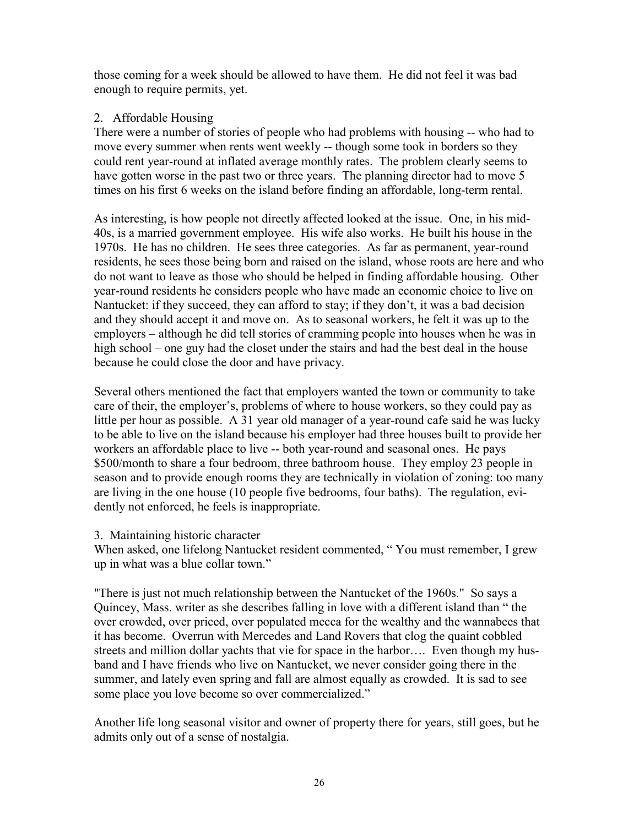those coming for a week should be allowed to have them. He did not feel it was bad enough to require permits, yet.

## 2. Affordable Housing

There were a number of stories of people who had problems with housing -- who had to move every summer when rents went weekly -- though some took in borders so they could rent year-round at inflated average monthly rates. The problem clearly seems to have gotten worse in the past two or three years. The planning director had to move 5 times on his first 6 weeks on the island before finding an affordable, long-term rental.

As interesting, is how people not directly affected looked at the issue. One, in his mid-40s, is a married government employee. His wife also works. He built his house in the 1970s. He has no children. He sees three categories. As far as permanent, year-round residents, he sees those being born and raised on the island, whose roots are here and who do not want to leave as those who should be helped in finding affordable housing. Other year-round residents he considers people who have made an economic choice to live on Nantucket: if they succeed, they can afford to stay; if they don't, it was a bad decision and they should accept it and move on. As to seasonal workers, he felt it was up to the employers – although he did tell stories of cramming people into houses when he was in high school – one guy had the closet under the stairs and had the best deal in the house because he could close the door and have privacy.

Several others mentioned the fact that employers wanted the town or community to take care of their, the employer's, problems of where to house workers, so they could pay as little per hour as possible. A 31 year old manager of a year-round cafe said he was lucky to be able to live on the island because his employer had three houses built to provide her workers an affordable place to live -- both year-round and seasonal ones. He pays \$500/month to share a four bedroom, three bathroom house. They employ 23 people in season and to provide enough rooms they are technically in violation of zoning: too many are living in the one house (10 people five bedrooms, four baths). The regulation, evidently not enforced, he feels is inappropriate.

3. Maintaining historic character

When asked, one lifelong Nantucket resident commented, "You must remember, I grew up in what was a blue collar town."

"There is just not much relationship between the Nantucket of the 1960s." So says a Quincey, Mass. writer as she describes falling in love with a different island than "the over crowded, over priced, over populated mecca for the wealthy and the wannabees that it has become. Overrun with Mercedes and Land Rovers that clog the quaint cobbled streets and million dollar yachts that vie for space in the harbor.... Even though my husband and I have friends who live on Nantucket, we never consider going there in the summer, and lately even spring and fall are almost equally as crowded. It is sad to see some place you love become so over commercialized."

Another life long seasonal visitor and owner of property there for years, still goes, but he admits only out of a sense of nostalgia.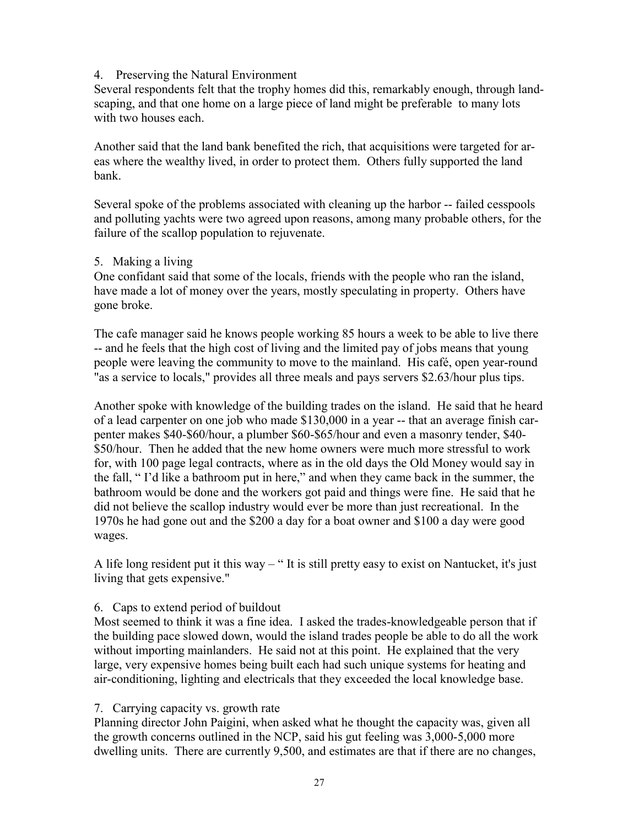## 4. Preserving the Natural Environment

Several respondents felt that the trophy homes did this, remarkably enough, through landscaping, and that one home on a large piece of land might be preferable to many lots with two houses each.

Another said that the land bank benefited the rich, that acquisitions were targeted for areas where the wealthy lived, in order to protect them. Others fully supported the land bank.

Several spoke of the problems associated with cleaning up the harbor -- failed cesspools and polluting yachts were two agreed upon reasons, among many probable others, for the failure of the scallop population to rejuvenate.

## 5. Making a living

One confidant said that some of the locals, friends with the people who ran the island, have made a lot of money over the years, mostly speculating in property. Others have gone broke.

The cafe manager said he knows people working 85 hours a week to be able to live there -- and he feels that the high cost of living and the limited pay of jobs means that young people were leaving the community to move to the mainland. His cafÈ, open year-round "as a service to locals," provides all three meals and pays servers \$2.63/hour plus tips.

Another spoke with knowledge of the building trades on the island. He said that he heard of a lead carpenter on one job who made \$130,000 in a year -- that an average finish carpenter makes \$40-\$60/hour, a plumber \$60-\$65/hour and even a masonry tender, \$40- \$50/hour. Then he added that the new home owners were much more stressful to work for, with 100 page legal contracts, where as in the old days the Old Money would say in the fall, "I'd like a bathroom put in here," and when they came back in the summer, the bathroom would be done and the workers got paid and things were fine. He said that he did not believe the scallop industry would ever be more than just recreational. In the 1970s he had gone out and the \$200 a day for a boat owner and \$100 a day were good wages.

A life long resident put it this way  $-$  "It is still pretty easy to exist on Nantucket, it's just living that gets expensive."

## 6. Caps to extend period of buildout

Most seemed to think it was a fine idea. I asked the trades-knowledgeable person that if the building pace slowed down, would the island trades people be able to do all the work without importing mainlanders. He said not at this point. He explained that the very large, very expensive homes being built each had such unique systems for heating and air-conditioning, lighting and electricals that they exceeded the local knowledge base.

## 7. Carrying capacity vs. growth rate

Planning director John Paigini, when asked what he thought the capacity was, given all the growth concerns outlined in the NCP, said his gut feeling was 3,000-5,000 more dwelling units. There are currently 9,500, and estimates are that if there are no changes,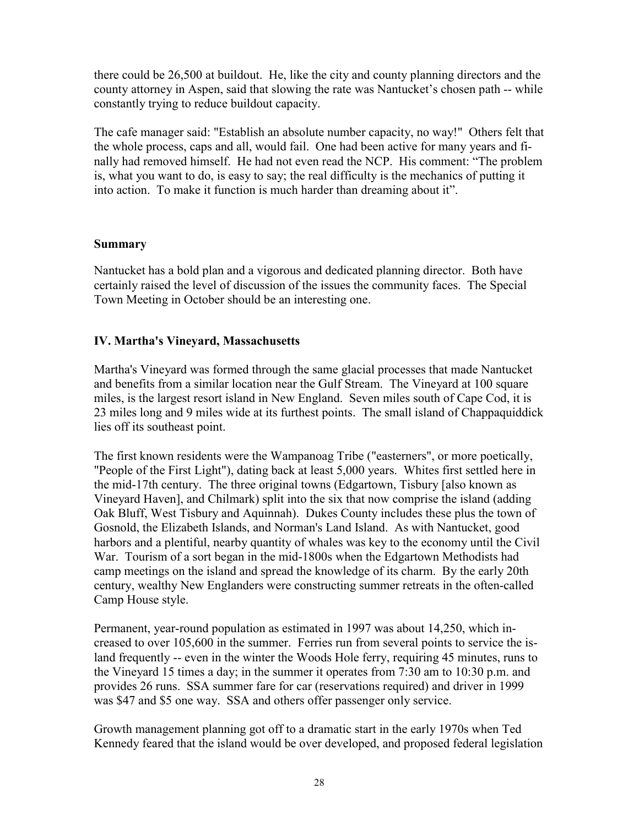there could be 26,500 at buildout. He, like the city and county planning directors and the county attorney in Aspen, said that slowing the rate was Nantucket's chosen path -- while constantly trying to reduce buildout capacity.

The cafe manager said: "Establish an absolute number capacity, no way!" Others felt that the whole process, caps and all, would fail. One had been active for many years and finally had removed himself. He had not even read the NCP. His comment: "The problem is, what you want to do, is easy to say; the real difficulty is the mechanics of putting it into action. To make it function is much harder than dreaming about it".

## **Summary**

Nantucket has a bold plan and a vigorous and dedicated planning director. Both have certainly raised the level of discussion of the issues the community faces. The Special Town Meeting in October should be an interesting one.

## **IV. Martha's Vineyard, Massachusetts**

Martha's Vineyard was formed through the same glacial processes that made Nantucket and benefits from a similar location near the Gulf Stream. The Vineyard at 100 square miles, is the largest resort island in New England. Seven miles south of Cape Cod, it is 23 miles long and 9 miles wide at its furthest points. The small island of Chappaquiddick lies off its southeast point.

The first known residents were the Wampanoag Tribe ("easterners", or more poetically, "People of the First Light"), dating back at least 5,000 years. Whites first settled here in the mid-17th century. The three original towns (Edgartown, Tisbury [also known as Vineyard Haven], and Chilmark) split into the six that now comprise the island (adding Oak Bluff, West Tisbury and Aquinnah). Dukes County includes these plus the town of Gosnold, the Elizabeth Islands, and Norman's Land Island. As with Nantucket, good harbors and a plentiful, nearby quantity of whales was key to the economy until the Civil War. Tourism of a sort began in the mid-1800s when the Edgartown Methodists had camp meetings on the island and spread the knowledge of its charm. By the early 20th century, wealthy New Englanders were constructing summer retreats in the often-called Camp House style.

Permanent, year-round population as estimated in 1997 was about 14,250, which increased to over 105,600 in the summer. Ferries run from several points to service the island frequently -- even in the winter the Woods Hole ferry, requiring 45 minutes, runs to the Vineyard 15 times a day; in the summer it operates from 7:30 am to 10:30 p.m. and provides 26 runs. SSA summer fare for car (reservations required) and driver in 1999 was \$47 and \$5 one way. SSA and others offer passenger only service.

Growth management planning got off to a dramatic start in the early 1970s when Ted Kennedy feared that the island would be over developed, and proposed federal legislation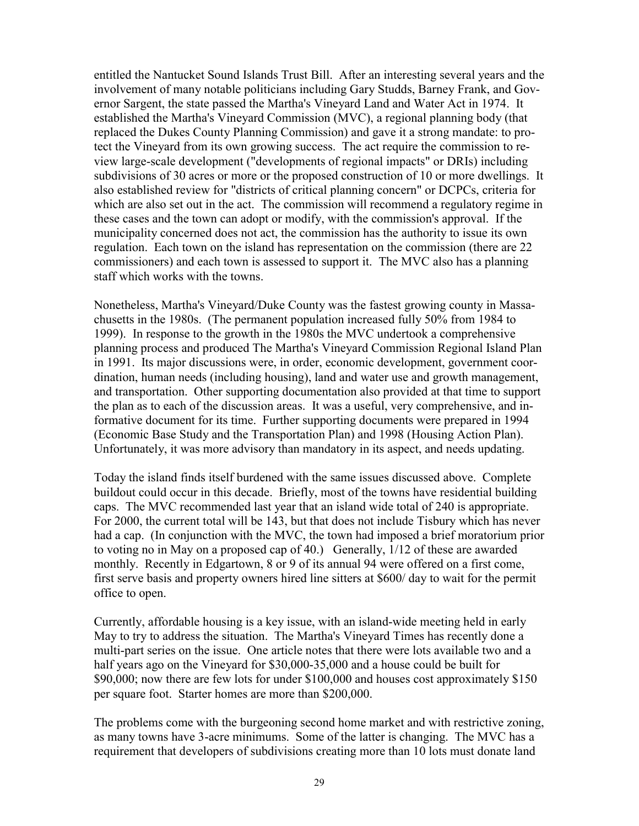entitled the Nantucket Sound Islands Trust Bill. After an interesting several years and the involvement of many notable politicians including Gary Studds, Barney Frank, and Governor Sargent, the state passed the Martha's Vineyard Land and Water Act in 1974. It established the Martha's Vineyard Commission (MVC), a regional planning body (that replaced the Dukes County Planning Commission) and gave it a strong mandate: to protect the Vineyard from its own growing success. The act require the commission to review large-scale development ("developments of regional impacts" or DRIs) including subdivisions of 30 acres or more or the proposed construction of 10 or more dwellings. It also established review for "districts of critical planning concern" or DCPCs, criteria for which are also set out in the act. The commission will recommend a regulatory regime in these cases and the town can adopt or modify, with the commission's approval. If the municipality concerned does not act, the commission has the authority to issue its own regulation. Each town on the island has representation on the commission (there are 22 commissioners) and each town is assessed to support it. The MVC also has a planning staff which works with the towns.

Nonetheless, Martha's Vineyard/Duke County was the fastest growing county in Massachusetts in the 1980s. (The permanent population increased fully 50% from 1984 to 1999). In response to the growth in the 1980s the MVC undertook a comprehensive planning process and produced The Martha's Vineyard Commission Regional Island Plan in 1991. Its major discussions were, in order, economic development, government coordination, human needs (including housing), land and water use and growth management, and transportation. Other supporting documentation also provided at that time to support the plan as to each of the discussion areas. It was a useful, very comprehensive, and informative document for its time. Further supporting documents were prepared in 1994 (Economic Base Study and the Transportation Plan) and 1998 (Housing Action Plan). Unfortunately, it was more advisory than mandatory in its aspect, and needs updating.

Today the island finds itself burdened with the same issues discussed above. Complete buildout could occur in this decade. Briefly, most of the towns have residential building caps. The MVC recommended last year that an island wide total of 240 is appropriate. For 2000, the current total will be 143, but that does not include Tisbury which has never had a cap. (In conjunction with the MVC, the town had imposed a brief moratorium prior to voting no in May on a proposed cap of 40.) Generally, 1/12 of these are awarded monthly. Recently in Edgartown, 8 or 9 of its annual 94 were offered on a first come, first serve basis and property owners hired line sitters at \$600/ day to wait for the permit office to open.

Currently, affordable housing is a key issue, with an island-wide meeting held in early May to try to address the situation. The Martha's Vineyard Times has recently done a multi-part series on the issue. One article notes that there were lots available two and a half years ago on the Vineyard for \$30,000-35,000 and a house could be built for \$90,000; now there are few lots for under \$100,000 and houses cost approximately \$150 per square foot. Starter homes are more than \$200,000.

The problems come with the burgeoning second home market and with restrictive zoning, as many towns have 3-acre minimums. Some of the latter is changing. The MVC has a requirement that developers of subdivisions creating more than 10 lots must donate land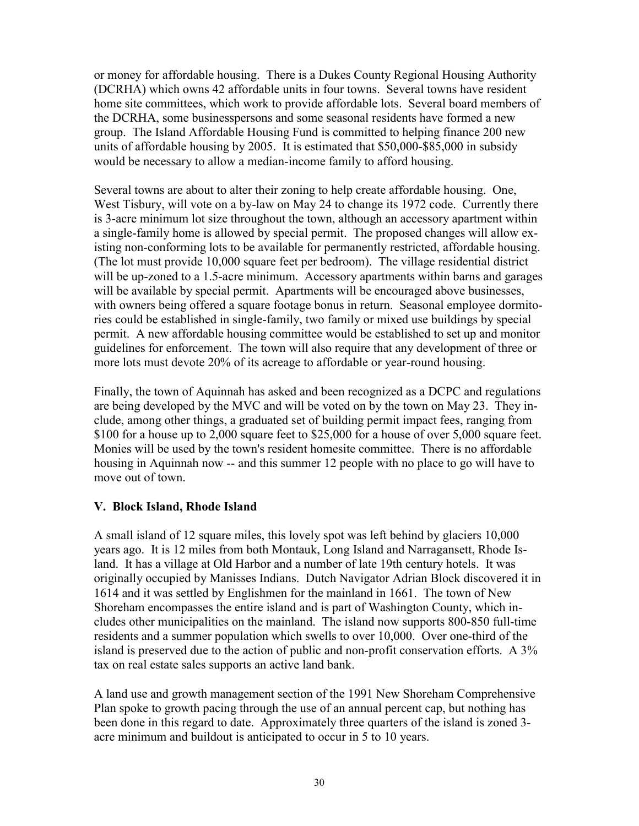or money for affordable housing. There is a Dukes County Regional Housing Authority (DCRHA) which owns 42 affordable units in four towns. Several towns have resident home site committees, which work to provide affordable lots. Several board members of the DCRHA, some businesspersons and some seasonal residents have formed a new group. The Island Affordable Housing Fund is committed to helping finance 200 new units of affordable housing by 2005. It is estimated that \$50,000-\$85,000 in subsidy would be necessary to allow a median-income family to afford housing.

Several towns are about to alter their zoning to help create affordable housing. One, West Tisbury, will vote on a by-law on May 24 to change its 1972 code. Currently there is 3-acre minimum lot size throughout the town, although an accessory apartment within a single-family home is allowed by special permit. The proposed changes will allow existing non-conforming lots to be available for permanently restricted, affordable housing. (The lot must provide 10,000 square feet per bedroom). The village residential district will be up-zoned to a 1.5-acre minimum. Accessory apartments within barns and garages will be available by special permit. Apartments will be encouraged above businesses, with owners being offered a square footage bonus in return. Seasonal employee dormitories could be established in single-family, two family or mixed use buildings by special permit. A new affordable housing committee would be established to set up and monitor guidelines for enforcement. The town will also require that any development of three or more lots must devote 20% of its acreage to affordable or year-round housing.

Finally, the town of Aquinnah has asked and been recognized as a DCPC and regulations are being developed by the MVC and will be voted on by the town on May 23. They include, among other things, a graduated set of building permit impact fees, ranging from \$100 for a house up to 2,000 square feet to \$25,000 for a house of over 5,000 square feet. Monies will be used by the town's resident homesite committee. There is no affordable housing in Aquinnah now -- and this summer 12 people with no place to go will have to move out of town.

## **V. Block Island, Rhode Island**

A small island of 12 square miles, this lovely spot was left behind by glaciers 10,000 years ago. It is 12 miles from both Montauk, Long Island and Narragansett, Rhode Island. It has a village at Old Harbor and a number of late 19th century hotels. It was originally occupied by Manisses Indians. Dutch Navigator Adrian Block discovered it in 1614 and it was settled by Englishmen for the mainland in 1661. The town of New Shoreham encompasses the entire island and is part of Washington County, which includes other municipalities on the mainland. The island now supports 800-850 full-time residents and a summer population which swells to over 10,000. Over one-third of the island is preserved due to the action of public and non-profit conservation efforts. A 3% tax on real estate sales supports an active land bank.

A land use and growth management section of the 1991 New Shoreham Comprehensive Plan spoke to growth pacing through the use of an annual percent cap, but nothing has been done in this regard to date. Approximately three quarters of the island is zoned 3 acre minimum and buildout is anticipated to occur in 5 to 10 years.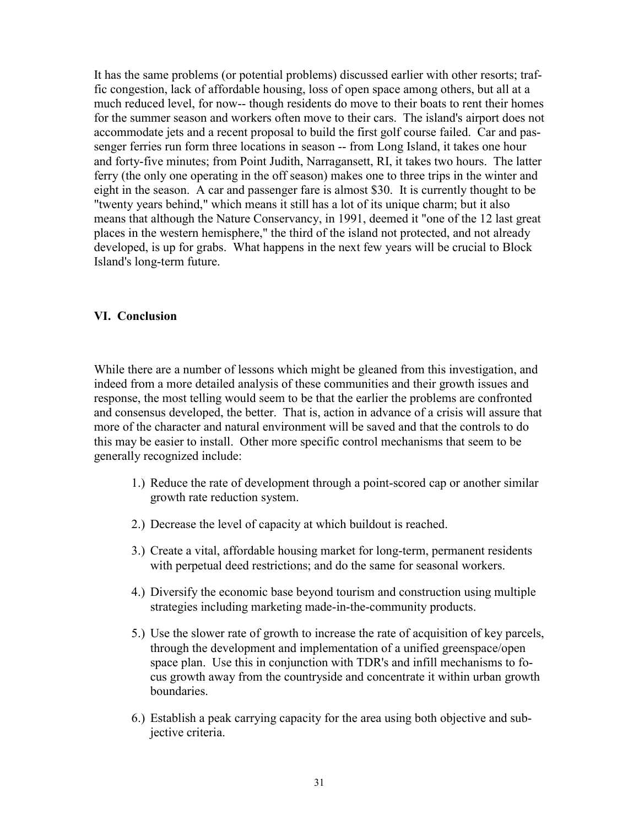It has the same problems (or potential problems) discussed earlier with other resorts; traffic congestion, lack of affordable housing, loss of open space among others, but all at a much reduced level, for now-- though residents do move to their boats to rent their homes for the summer season and workers often move to their cars. The island's airport does not accommodate jets and a recent proposal to build the first golf course failed. Car and passenger ferries run form three locations in season -- from Long Island, it takes one hour and forty-five minutes; from Point Judith, Narragansett, RI, it takes two hours. The latter ferry (the only one operating in the off season) makes one to three trips in the winter and eight in the season. A car and passenger fare is almost \$30. It is currently thought to be "twenty years behind," which means it still has a lot of its unique charm; but it also means that although the Nature Conservancy, in 1991, deemed it "one of the 12 last great places in the western hemisphere," the third of the island not protected, and not already developed, is up for grabs. What happens in the next few years will be crucial to Block Island's long-term future.

## **VI. Conclusion**

While there are a number of lessons which might be gleaned from this investigation, and indeed from a more detailed analysis of these communities and their growth issues and response, the most telling would seem to be that the earlier the problems are confronted and consensus developed, the better. That is, action in advance of a crisis will assure that more of the character and natural environment will be saved and that the controls to do this may be easier to install. Other more specific control mechanisms that seem to be generally recognized include:

- 1.) Reduce the rate of development through a point-scored cap or another similar growth rate reduction system.
- 2.) Decrease the level of capacity at which buildout is reached.
- 3.) Create a vital, affordable housing market for long-term, permanent residents with perpetual deed restrictions; and do the same for seasonal workers.
- 4.) Diversify the economic base beyond tourism and construction using multiple strategies including marketing made-in-the-community products.
- 5.) Use the slower rate of growth to increase the rate of acquisition of key parcels, through the development and implementation of a unified greenspace/open space plan. Use this in conjunction with TDR's and infill mechanisms to focus growth away from the countryside and concentrate it within urban growth boundaries.
- 6.) Establish a peak carrying capacity for the area using both objective and subjective criteria.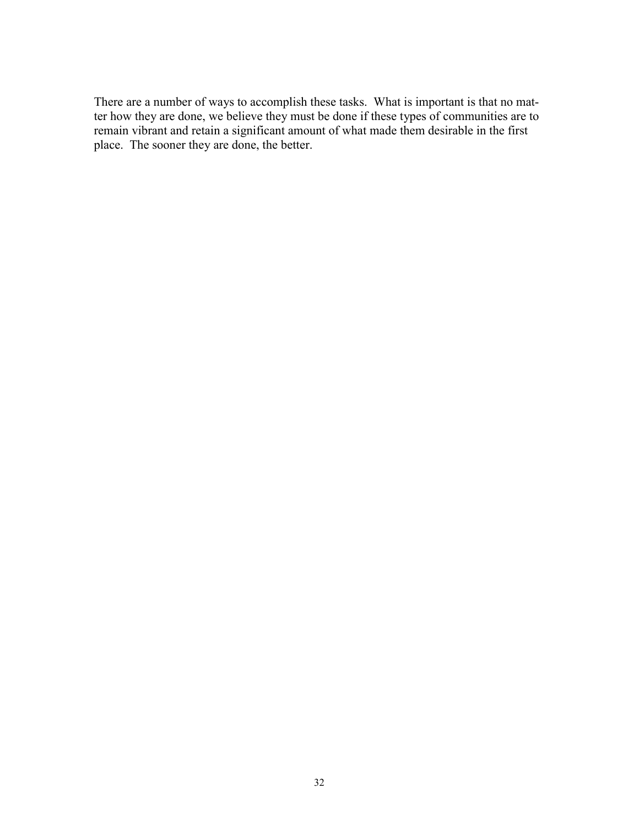There are a number of ways to accomplish these tasks. What is important is that no matter how they are done, we believe they must be done if these types of communities are to remain vibrant and retain a significant amount of what made them desirable in the first place. The sooner they are done, the better.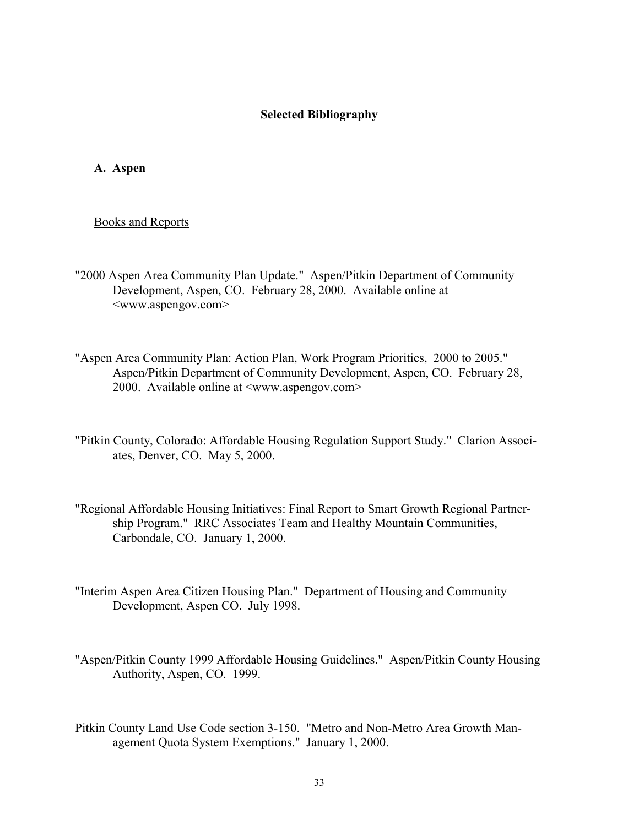#### **Selected Bibliography**

**A. Aspen**

Books and Reports

- "2000 Aspen Area Community Plan Update." Aspen/Pitkin Department of Community Development, Aspen, CO. February 28, 2000. Available online at <www.aspengov.com>
- "Aspen Area Community Plan: Action Plan, Work Program Priorities, 2000 to 2005." Aspen/Pitkin Department of Community Development, Aspen, CO. February 28, 2000. Available online at <www.aspengov.com>
- "Pitkin County, Colorado: Affordable Housing Regulation Support Study." Clarion Associates, Denver, CO. May 5, 2000.
- "Regional Affordable Housing Initiatives: Final Report to Smart Growth Regional Partnership Program." RRC Associates Team and Healthy Mountain Communities, Carbondale, CO. January 1, 2000.
- "Interim Aspen Area Citizen Housing Plan." Department of Housing and Community Development, Aspen CO. July 1998.
- "Aspen/Pitkin County 1999 Affordable Housing Guidelines." Aspen/Pitkin County Housing Authority, Aspen, CO. 1999.
- Pitkin County Land Use Code section 3-150. "Metro and Non-Metro Area Growth Management Quota System Exemptions." January 1, 2000.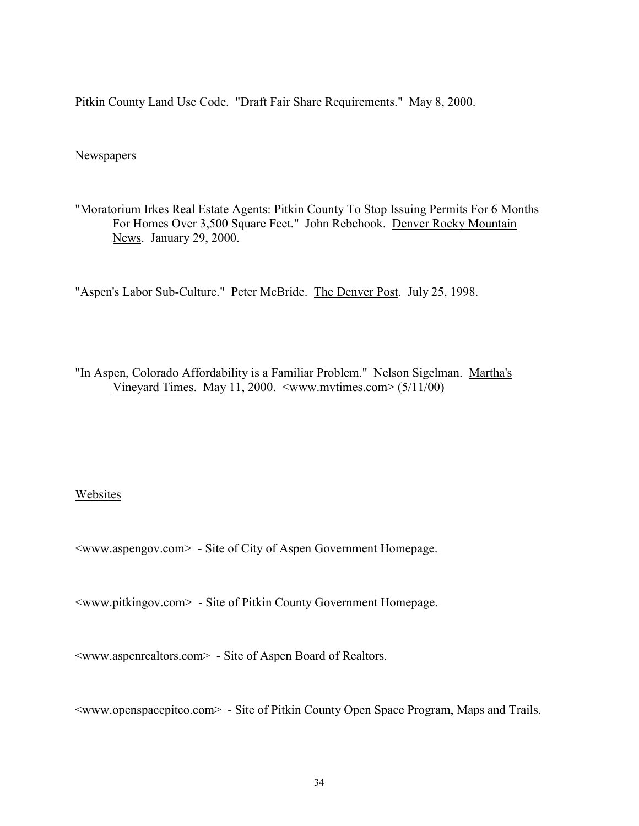Pitkin County Land Use Code. "Draft Fair Share Requirements." May 8, 2000.

#### **Newspapers**

"Moratorium Irkes Real Estate Agents: Pitkin County To Stop Issuing Permits For 6 Months For Homes Over 3,500 Square Feet." John Rebchook. Denver Rocky Mountain News. January 29, 2000.

"Aspen's Labor Sub-Culture." Peter McBride. The Denver Post. July 25, 1998.

"In Aspen, Colorado Affordability is a Familiar Problem." Nelson Sigelman. Martha's Vineyard Times. May 11, 2000.  $\langle$ www.mvtimes.com $> (5/11/00)$ 

#### Websites

<www.aspengov.com> - Site of City of Aspen Government Homepage.

<www.pitkingov.com> - Site of Pitkin County Government Homepage.

<www.aspenrealtors.com> - Site of Aspen Board of Realtors.

<www.openspacepitco.com> - Site of Pitkin County Open Space Program, Maps and Trails.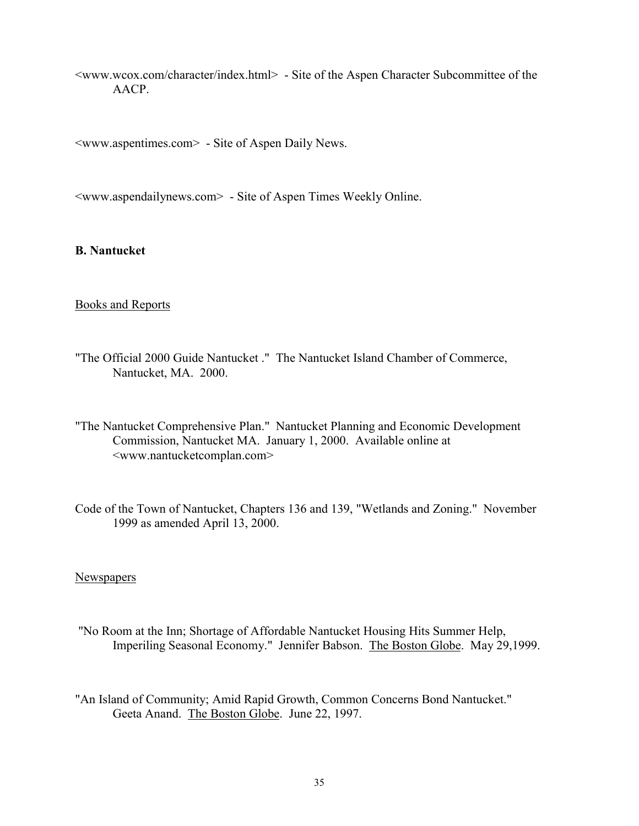<www.wcox.com/character/index.html> - Site of the Aspen Character Subcommittee of the AACP.

<www.aspentimes.com> - Site of Aspen Daily News.

<www.aspendailynews.com> - Site of Aspen Times Weekly Online.

**B. Nantucket**

### Books and Reports

- "The Official 2000 Guide Nantucket ." The Nantucket Island Chamber of Commerce, Nantucket, MA. 2000.
- "The Nantucket Comprehensive Plan." Nantucket Planning and Economic Development Commission, Nantucket MA. January 1, 2000. Available online at <www.nantucketcomplan.com>
- Code of the Town of Nantucket, Chapters 136 and 139, "Wetlands and Zoning." November 1999 as amended April 13, 2000.

#### Newspapers

 "No Room at the Inn; Shortage of Affordable Nantucket Housing Hits Summer Help, Imperiling Seasonal Economy." Jennifer Babson. The Boston Globe. May 29,1999.

"An Island of Community; Amid Rapid Growth, Common Concerns Bond Nantucket." Geeta Anand. The Boston Globe. June 22, 1997.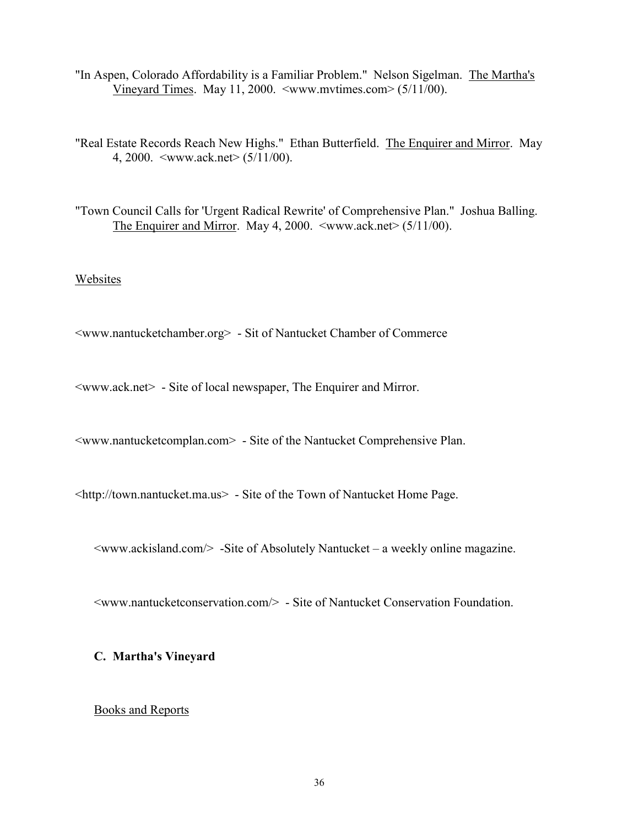"In Aspen, Colorado Affordability is a Familiar Problem." Nelson Sigelman. The Martha's Vineyard Times. May 11, 2000. <www.mvtimes.com> (5/11/00).

"Real Estate Records Reach New Highs." Ethan Butterfield. The Enquirer and Mirror. May 4, 2000. <www.ack.net> (5/11/00).

"Town Council Calls for 'Urgent Radical Rewrite' of Comprehensive Plan." Joshua Balling. The Enquirer and Mirror. May 4, 2000.  $\langle$ www.ack.net $\rangle$  (5/11/00).

#### Websites

<www.nantucketchamber.org> - Sit of Nantucket Chamber of Commerce

<www.ack.net> - Site of local newspaper, The Enquirer and Mirror.

<www.nantucketcomplan.com> - Site of the Nantucket Comprehensive Plan.

<http://town.nantucket.ma.us> - Site of the Town of Nantucket Home Page.

 $\langle$ www.ackisland.com $\rangle$  -Site of Absolutely Nantucket – a weekly online magazine.

<www.nantucketconservation.com/> - Site of Nantucket Conservation Foundation.

### **C. Martha's Vineyard**

#### Books and Reports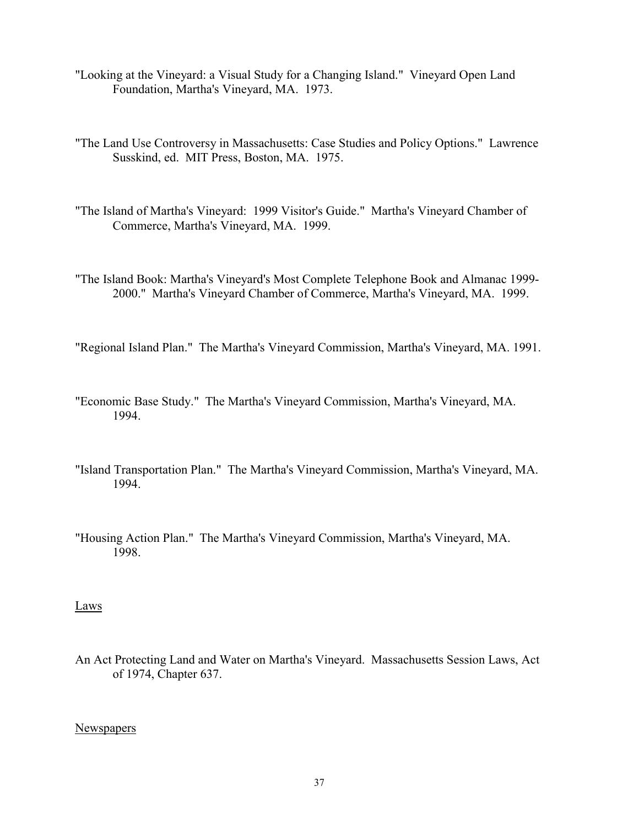- "Looking at the Vineyard: a Visual Study for a Changing Island." Vineyard Open Land Foundation, Martha's Vineyard, MA. 1973.
- "The Land Use Controversy in Massachusetts: Case Studies and Policy Options." Lawrence Susskind, ed. MIT Press, Boston, MA. 1975.
- "The Island of Martha's Vineyard: 1999 Visitor's Guide." Martha's Vineyard Chamber of Commerce, Martha's Vineyard, MA. 1999.
- "The Island Book: Martha's Vineyard's Most Complete Telephone Book and Almanac 1999- 2000." Martha's Vineyard Chamber of Commerce, Martha's Vineyard, MA. 1999.

"Regional Island Plan." The Martha's Vineyard Commission, Martha's Vineyard, MA. 1991.

- "Economic Base Study." The Martha's Vineyard Commission, Martha's Vineyard, MA. 1994.
- "Island Transportation Plan." The Martha's Vineyard Commission, Martha's Vineyard, MA. 1994.
- "Housing Action Plan." The Martha's Vineyard Commission, Martha's Vineyard, MA. 1998.

Laws

An Act Protecting Land and Water on Martha's Vineyard. Massachusetts Session Laws, Act of 1974, Chapter 637.

#### **Newspapers**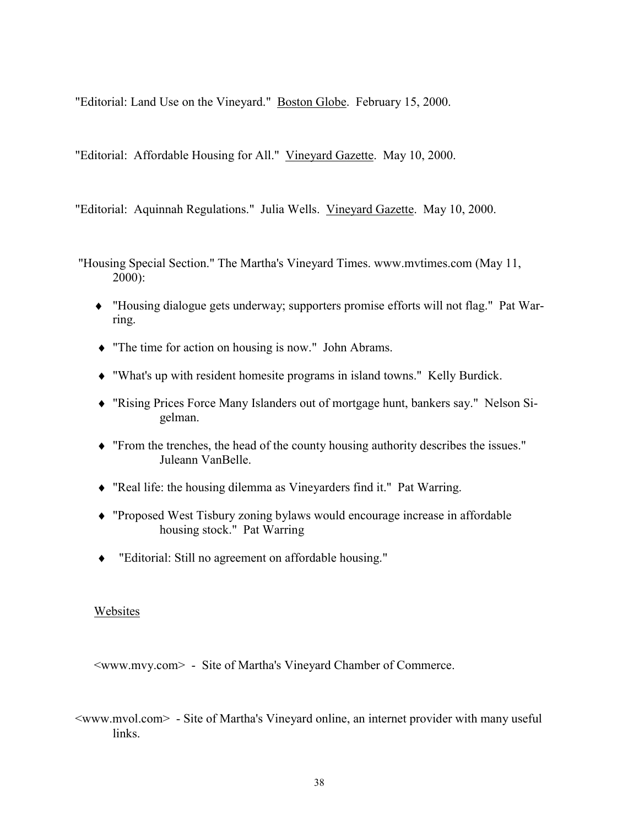"Editorial: Land Use on the Vineyard." Boston Globe. February 15, 2000.

"Editorial: Affordable Housing for All." Vineyard Gazette. May 10, 2000.

"Editorial: Aquinnah Regulations." Julia Wells. Vineyard Gazette. May 10, 2000.

- "Housing Special Section." The Martha's Vineyard Times. www.mvtimes.com (May 11, 2000):
	- ♦ "Housing dialogue gets underway; supporters promise efforts will not flag." Pat Warring.
	- ♦ "The time for action on housing is now." John Abrams.
	- ♦ "What's up with resident homesite programs in island towns." Kelly Burdick.
	- ♦ "Rising Prices Force Many Islanders out of mortgage hunt, bankers say." Nelson Sigelman.
	- ♦ "From the trenches, the head of the county housing authority describes the issues." Juleann VanBelle.
	- ♦ "Real life: the housing dilemma as Vineyarders find it." Pat Warring.
	- ♦ "Proposed West Tisbury zoning bylaws would encourage increase in affordable housing stock." Pat Warring
	- "Editorial: Still no agreement on affordable housing."

#### Websites

<www.mvy.com> - Site of Martha's Vineyard Chamber of Commerce.

<www.mvol.com>- Site of Martha's Vineyard online, an internet provider with many useful links.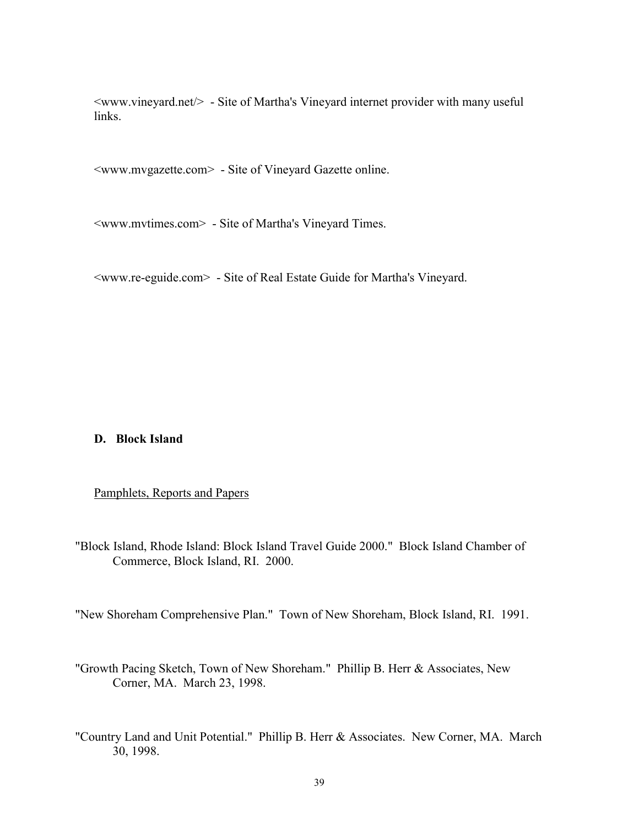<www.vineyard.net/> - Site of Martha's Vineyard internet provider with many useful links.

<www.mvgazette.com> - Site of Vineyard Gazette online.

<www.mvtimes.com> - Site of Martha's Vineyard Times.

<www.re-eguide.com> - Site of Real Estate Guide for Martha's Vineyard.

#### **D. Block Island**

#### Pamphlets, Reports and Papers

"Block Island, Rhode Island: Block Island Travel Guide 2000." Block Island Chamber of Commerce, Block Island, RI. 2000.

"New Shoreham Comprehensive Plan." Town of New Shoreham, Block Island, RI. 1991.

- "Growth Pacing Sketch, Town of New Shoreham." Phillip B. Herr & Associates, New Corner, MA. March 23, 1998.
- "Country Land and Unit Potential." Phillip B. Herr & Associates. New Corner, MA. March 30, 1998.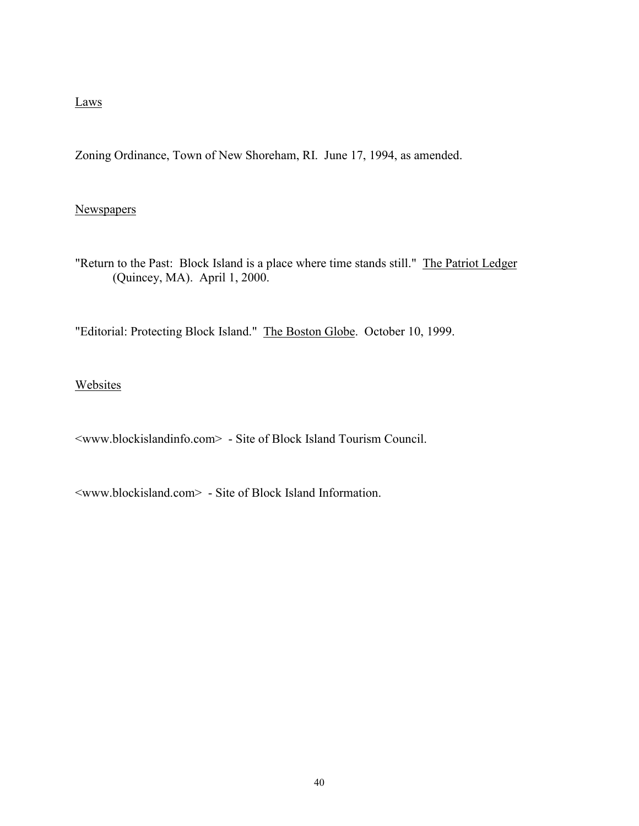## Laws

Zoning Ordinance, Town of New Shoreham, RI. June 17, 1994, as amended.

## **Newspapers**

"Return to the Past: Block Island is a place where time stands still." The Patriot Ledger (Quincey, MA). April 1, 2000.

"Editorial: Protecting Block Island." The Boston Globe. October 10, 1999.

Websites

<www.blockislandinfo.com> - Site of Block Island Tourism Council.

<www.blockisland.com> - Site of Block Island Information.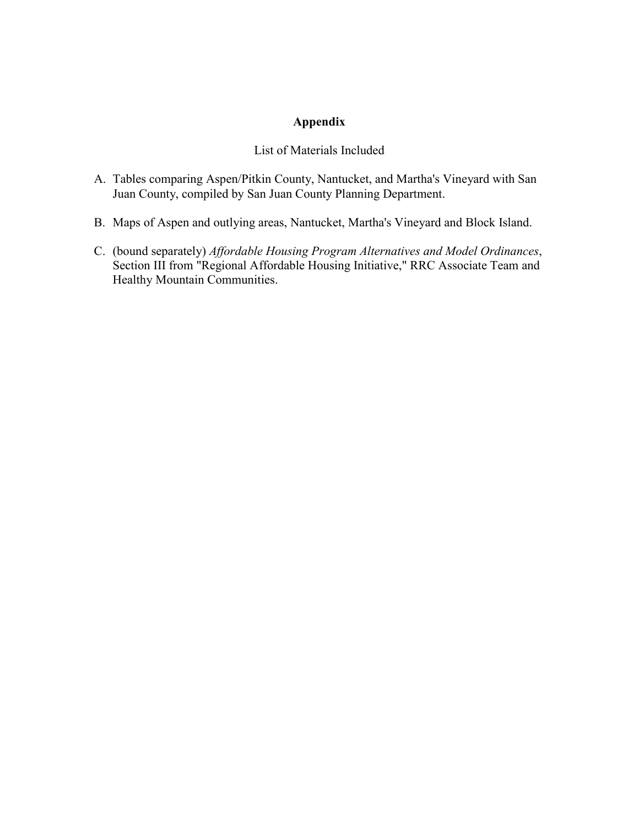## **Appendix**

## List of Materials Included

- A. Tables comparing Aspen/Pitkin County, Nantucket, and Martha's Vineyard with San Juan County, compiled by San Juan County Planning Department.
- B. Maps of Aspen and outlying areas, Nantucket, Martha's Vineyard and Block Island.
- C. (bound separately) *Affordable Housing Program Alternatives and Model Ordinances*, Section III from "Regional Affordable Housing Initiative," RRC Associate Team and Healthy Mountain Communities.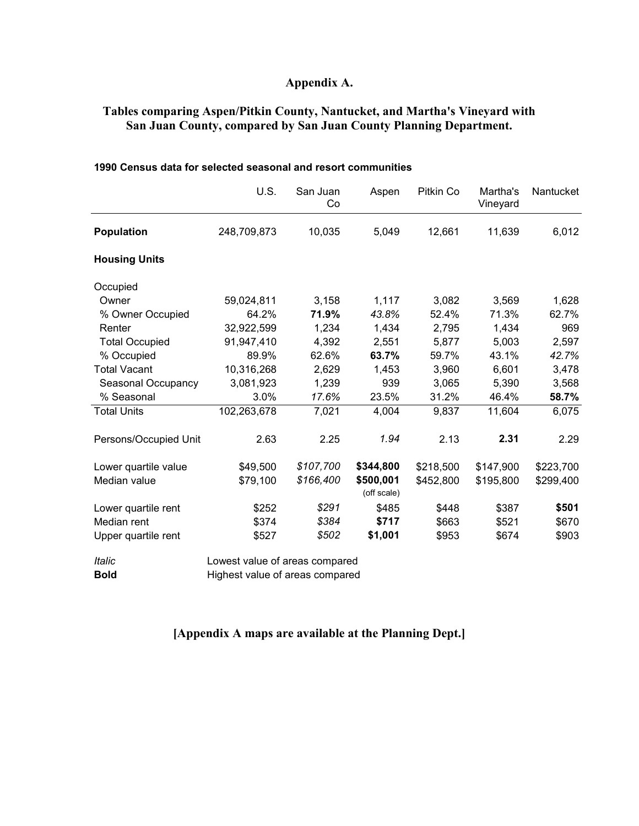## **Appendix A.**

## **Tables comparing Aspen/Pitkin County, Nantucket, and Martha's Vineyard with San Juan County, compared by San Juan County Planning Department.**

|                       | U.S.        | San Juan<br>Co | Aspen                    | Pitkin Co | Martha's<br>Vineyard | Nantucket |
|-----------------------|-------------|----------------|--------------------------|-----------|----------------------|-----------|
| <b>Population</b>     | 248,709,873 | 10,035         | 5,049                    | 12,661    | 11,639               | 6,012     |
| <b>Housing Units</b>  |             |                |                          |           |                      |           |
| Occupied              |             |                |                          |           |                      |           |
| Owner                 | 59,024,811  | 3,158          | 1,117                    | 3,082     | 3,569                | 1,628     |
| % Owner Occupied      | 64.2%       | 71.9%          | 43.8%                    | 52.4%     | 71.3%                | 62.7%     |
| Renter                | 32,922,599  | 1,234          | 1,434                    | 2,795     | 1,434                | 969       |
| <b>Total Occupied</b> | 91,947,410  | 4,392          | 2,551                    | 5,877     | 5,003                | 2,597     |
| % Occupied            | 89.9%       | 62.6%          | 63.7%                    | 59.7%     | 43.1%                | 42.7%     |
| <b>Total Vacant</b>   | 10,316,268  | 2,629          | 1,453                    | 3,960     | 6,601                | 3,478     |
| Seasonal Occupancy    | 3,081,923   | 1,239          | 939                      | 3,065     | 5,390                | 3,568     |
| % Seasonal            | 3.0%        | 17.6%          | 23.5%                    | 31.2%     | 46.4%                | 58.7%     |
| <b>Total Units</b>    | 102,263,678 | 7,021          | 4,004                    | 9,837     | 11,604               | 6,075     |
| Persons/Occupied Unit | 2.63        | 2.25           | 1.94                     | 2.13      | 2.31                 | 2.29      |
| Lower quartile value  | \$49,500    | \$107,700      | \$344,800                | \$218,500 | \$147,900            | \$223,700 |
| Median value          | \$79,100    | \$166,400      | \$500,001<br>(off scale) | \$452,800 | \$195,800            | \$299,400 |
| Lower quartile rent   | \$252       | \$291          | \$485                    | \$448     | \$387                | \$501     |
| Median rent           | \$374       | \$384          | \$717                    | \$663     | \$521                | \$670     |
| Upper quartile rent   | \$527       | \$502          | \$1,001                  | \$953     | \$674                | \$903     |
|                       |             |                |                          |           |                      |           |

#### **1990 Census data for selected seasonal and resort communities**

*Italic* Lowest value of areas compared **Bold Highest value of areas compared** 

## **[Appendix A maps are available at the Planning Dept.]**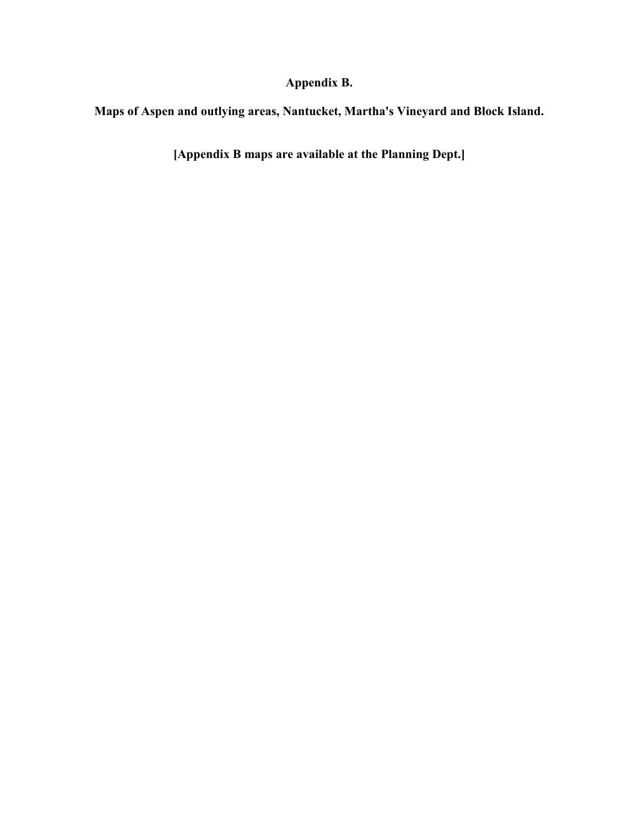**Appendix B.**

**Maps of Aspen and outlying areas, Nantucket, Martha's Vineyard and Block Island.**

**[Appendix B maps are available at the Planning Dept.]**